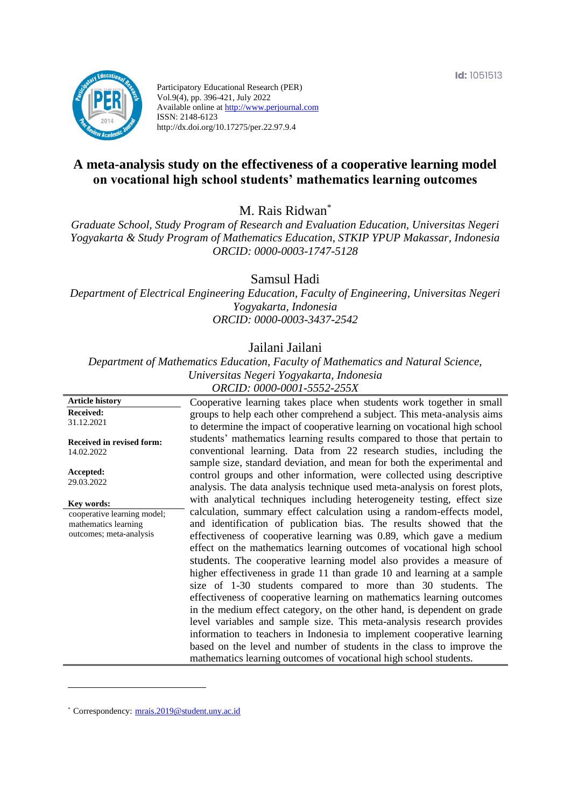

Participatory Educational Research (PER) Vol.9(4), pp. 396-421, July 2022 Available online at http://www.perjournal.com ISSN: 2148-6123 http://dx.doi.org/10.17275/per.22.97.9.4

# **A meta-analysis study on the effectiveness of a cooperative learning model on vocational high school students' mathematics learning outcomes**

M. Rais Ridwan\*

*Graduate School, Study Program of Research and Evaluation Education, Universitas Negeri Yogyakarta & Study Program of Mathematics Education, STKIP YPUP Makassar, Indonesia ORCID: 0000-0003-1747-5128*

Samsul Hadi

*Department of Electrical Engineering Education, Faculty of Engineering, Universitas Negeri Yogyakarta, Indonesia ORCID: 0000-0003-3437-2542*

# Jailani Jailani

*Department of Mathematics Education, Faculty of Mathematics and Natural Science, Universitas Negeri Yogyakarta, Indonesia ORCID: 0000-0001-5552-255X*

**Article history Received:**  31.12.2021 **Received in revised form:**  14.02.2022 **Accepted:** 29.03.2022 Cooperative learning takes place when students work together in small groups to help each other comprehend a subject. This meta-analysis aims to determine the impact of cooperative learning on vocational high school students' mathematics learning results compared to those that pertain to conventional learning. Data from 22 research studies, including the sample size, standard deviation, and mean for both the experimental and control groups and other information, were collected using descriptive analysis. The data analysis technique used meta-analysis on forest plots, with analytical techniques including heterogeneity testing, effect size calculation, summary effect calculation using a random-effects model, and identification of publication bias. The results showed that the effectiveness of cooperative learning was 0.89, which gave a medium effect on the mathematics learning outcomes of vocational high school students. The cooperative learning model also provides a measure of higher effectiveness in grade 11 than grade 10 and learning at a sample size of 1-30 students compared to more than 30 students. The effectiveness of cooperative learning on mathematics learning outcomes in the medium effect category, on the other hand, is dependent on grade level variables and sample size. This meta-analysis research provides information to teachers in Indonesia to implement cooperative learning based on the level and number of students in the class to improve the mathematics learning outcomes of vocational high school students. **Key words:** cooperative learning model; mathematics learning outcomes; meta-analysis

\* [Correspondency:](mailto:Correspondency:) [mrais.2019@student.uny.ac.id](mailto:mrais.2019@student.uny.ac.id)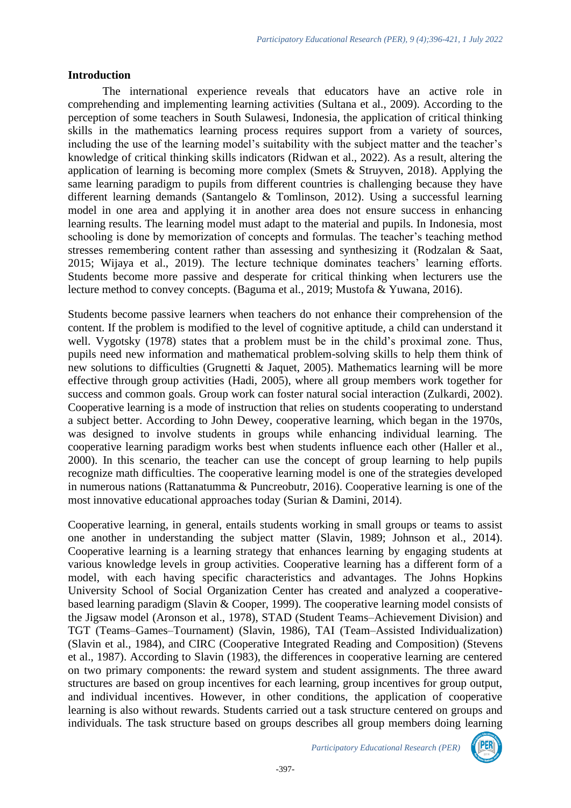### **Introduction**

The international experience reveals that educators have an active role in comprehending and implementing learning activities (Sultana et al., 2009). According to the perception of some teachers in South Sulawesi, Indonesia, the application of critical thinking skills in the mathematics learning process requires support from a variety of sources, including the use of the learning model's suitability with the subject matter and the teacher's knowledge of critical thinking skills indicators (Ridwan et al., 2022). As a result, altering the application of learning is becoming more complex (Smets & Struyven, 2018). Applying the same learning paradigm to pupils from different countries is challenging because they have different learning demands (Santangelo & Tomlinson, 2012). Using a successful learning model in one area and applying it in another area does not ensure success in enhancing learning results. The learning model must adapt to the material and pupils. In Indonesia, most schooling is done by memorization of concepts and formulas. The teacher's teaching method stresses remembering content rather than assessing and synthesizing it (Rodzalan & Saat, 2015; Wijaya et al., 2019). The lecture technique dominates teachers' learning efforts. Students become more passive and desperate for critical thinking when lecturers use the lecture method to convey concepts. (Baguma et al., 2019; Mustofa & Yuwana, 2016).

Students become passive learners when teachers do not enhance their comprehension of the content. If the problem is modified to the level of cognitive aptitude, a child can understand it well. Vygotsky (1978) states that a problem must be in the child's proximal zone. Thus, pupils need new information and mathematical problem-solving skills to help them think of new solutions to difficulties (Grugnetti & Jaquet, 2005). Mathematics learning will be more effective through group activities (Hadi, 2005), where all group members work together for success and common goals. Group work can foster natural social interaction (Zulkardi, 2002). Cooperative learning is a mode of instruction that relies on students cooperating to understand a subject better. According to John Dewey, cooperative learning, which began in the 1970s, was designed to involve students in groups while enhancing individual learning. The cooperative learning paradigm works best when students influence each other (Haller et al., 2000). In this scenario, the teacher can use the concept of group learning to help pupils recognize math difficulties. The cooperative learning model is one of the strategies developed in numerous nations (Rattanatumma & Puncreobutr, 2016). Cooperative learning is one of the most innovative educational approaches today (Surian & Damini, 2014).

Cooperative learning, in general, entails students working in small groups or teams to assist one another in understanding the subject matter (Slavin, 1989; Johnson et al., 2014). Cooperative learning is a learning strategy that enhances learning by engaging students at various knowledge levels in group activities. Cooperative learning has a different form of a model, with each having specific characteristics and advantages. The Johns Hopkins University School of Social Organization Center has created and analyzed a cooperativebased learning paradigm (Slavin & Cooper, 1999). The cooperative learning model consists of the Jigsaw model (Aronson et al., 1978), STAD (Student Teams–Achievement Division) and TGT (Teams–Games–Tournament) (Slavin, 1986), TAI (Team–Assisted Individualization) (Slavin et al., 1984), and CIRC (Cooperative Integrated Reading and Composition) (Stevens et al., 1987). According to Slavin (1983), the differences in cooperative learning are centered on two primary components: the reward system and student assignments. The three award structures are based on group incentives for each learning, group incentives for group output, and individual incentives. However, in other conditions, the application of cooperative learning is also without rewards. Students carried out a task structure centered on groups and individuals. The task structure based on groups describes all group members doing learning

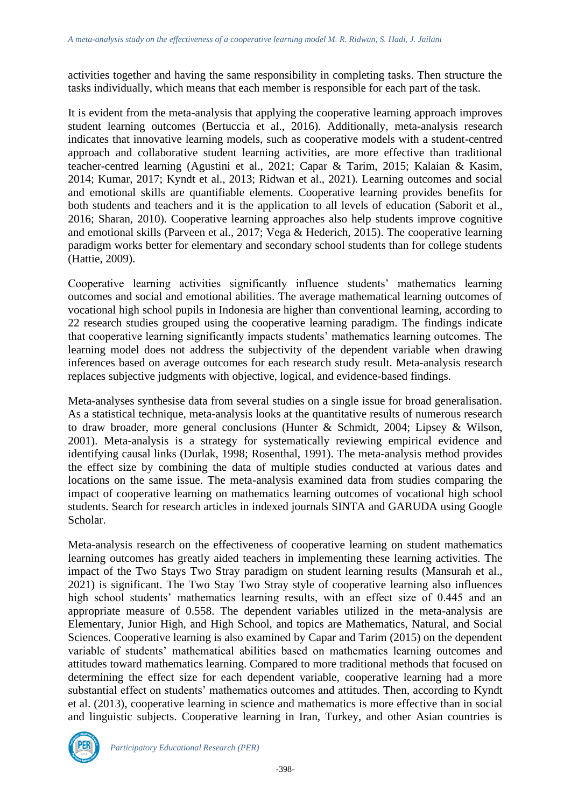activities together and having the same responsibility in completing tasks. Then structure the tasks individually, which means that each member is responsible for each part of the task.

It is evident from the meta-analysis that applying the cooperative learning approach improves student learning outcomes (Bertuccia et al., 2016). Additionally, meta-analysis research indicates that innovative learning models, such as cooperative models with a student-centred approach and collaborative student learning activities, are more effective than traditional teacher-centred learning (Agustini et al., 2021; Capar & Tarim, 2015; Kalaian & Kasim, 2014; Kumar, 2017; Kyndt et al., 2013; Ridwan et al., 2021). Learning outcomes and social and emotional skills are quantifiable elements. Cooperative learning provides benefits for both students and teachers and it is the application to all levels of education (Saborit et al., 2016; Sharan, 2010). Cooperative learning approaches also help students improve cognitive and emotional skills (Parveen et al., 2017; Vega & Hederich, 2015). The cooperative learning paradigm works better for elementary and secondary school students than for college students (Hattie, 2009).

Cooperative learning activities significantly influence students' mathematics learning outcomes and social and emotional abilities. The average mathematical learning outcomes of vocational high school pupils in Indonesia are higher than conventional learning, according to 22 research studies grouped using the cooperative learning paradigm. The findings indicate that cooperative learning significantly impacts students' mathematics learning outcomes. The learning model does not address the subjectivity of the dependent variable when drawing inferences based on average outcomes for each research study result. Meta-analysis research replaces subjective judgments with objective, logical, and evidence-based findings.

Meta-analyses synthesise data from several studies on a single issue for broad generalisation. As a statistical technique, meta-analysis looks at the quantitative results of numerous research to draw broader, more general conclusions (Hunter & Schmidt, 2004; Lipsey & Wilson, 2001). Meta-analysis is a strategy for systematically reviewing empirical evidence and identifying causal links (Durlak, 1998; Rosenthal, 1991). The meta-analysis method provides the effect size by combining the data of multiple studies conducted at various dates and locations on the same issue. The meta-analysis examined data from studies comparing the impact of cooperative learning on mathematics learning outcomes of vocational high school students. Search for research articles in indexed journals SINTA and GARUDA using Google Scholar.

Meta-analysis research on the effectiveness of cooperative learning on student mathematics learning outcomes has greatly aided teachers in implementing these learning activities. The impact of the Two Stays Two Stray paradigm on student learning results (Mansurah et al., 2021) is significant. The Two Stay Two Stray style of cooperative learning also influences high school students' mathematics learning results, with an effect size of 0.445 and an appropriate measure of 0.558. The dependent variables utilized in the meta-analysis are Elementary, Junior High, and High School, and topics are Mathematics, Natural, and Social Sciences. Cooperative learning is also examined by Capar and Tarim (2015) on the dependent variable of students' mathematical abilities based on mathematics learning outcomes and attitudes toward mathematics learning. Compared to more traditional methods that focused on determining the effect size for each dependent variable, cooperative learning had a more substantial effect on students' mathematics outcomes and attitudes. Then, according to Kyndt et al. (2013), cooperative learning in science and mathematics is more effective than in social and linguistic subjects. Cooperative learning in Iran, Turkey, and other Asian countries is



*Participatory Educational Research (PER)*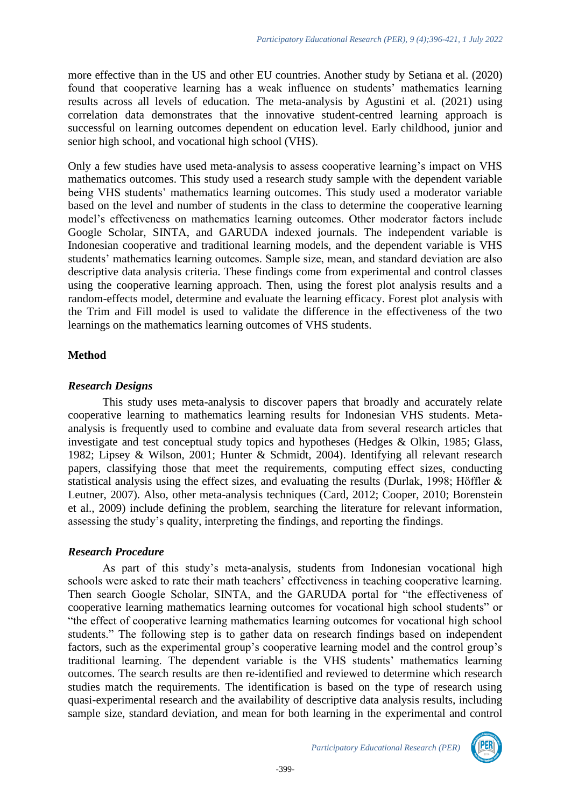more effective than in the US and other EU countries. Another study by Setiana et al. (2020) found that cooperative learning has a weak influence on students' mathematics learning results across all levels of education. The meta-analysis by Agustini et al. (2021) using correlation data demonstrates that the innovative student-centred learning approach is successful on learning outcomes dependent on education level. Early childhood, junior and senior high school, and vocational high school (VHS).

Only a few studies have used meta-analysis to assess cooperative learning's impact on VHS mathematics outcomes. This study used a research study sample with the dependent variable being VHS students' mathematics learning outcomes. This study used a moderator variable based on the level and number of students in the class to determine the cooperative learning model's effectiveness on mathematics learning outcomes. Other moderator factors include Google Scholar, SINTA, and GARUDA indexed journals. The independent variable is Indonesian cooperative and traditional learning models, and the dependent variable is VHS students' mathematics learning outcomes. Sample size, mean, and standard deviation are also descriptive data analysis criteria. These findings come from experimental and control classes using the cooperative learning approach. Then, using the forest plot analysis results and a random-effects model, determine and evaluate the learning efficacy. Forest plot analysis with the Trim and Fill model is used to validate the difference in the effectiveness of the two learnings on the mathematics learning outcomes of VHS students.

# **Method**

### *Research Designs*

This study uses meta-analysis to discover papers that broadly and accurately relate cooperative learning to mathematics learning results for Indonesian VHS students. Metaanalysis is frequently used to combine and evaluate data from several research articles that investigate and test conceptual study topics and hypotheses (Hedges & Olkin, 1985; Glass, 1982; Lipsey & Wilson, 2001; Hunter & Schmidt, 2004). Identifying all relevant research papers, classifying those that meet the requirements, computing effect sizes, conducting statistical analysis using the effect sizes, and evaluating the results (Durlak, 1998; Höffler & Leutner, 2007). Also, other meta-analysis techniques (Card, 2012; Cooper, 2010; Borenstein et al., 2009) include defining the problem, searching the literature for relevant information, assessing the study's quality, interpreting the findings, and reporting the findings.

# *Research Procedure*

As part of this study's meta-analysis, students from Indonesian vocational high schools were asked to rate their math teachers' effectiveness in teaching cooperative learning. Then search Google Scholar, SINTA, and the GARUDA portal for "the effectiveness of cooperative learning mathematics learning outcomes for vocational high school students" or "the effect of cooperative learning mathematics learning outcomes for vocational high school students." The following step is to gather data on research findings based on independent factors, such as the experimental group's cooperative learning model and the control group's traditional learning. The dependent variable is the VHS students' mathematics learning outcomes. The search results are then re-identified and reviewed to determine which research studies match the requirements. The identification is based on the type of research using quasi-experimental research and the availability of descriptive data analysis results, including sample size, standard deviation, and mean for both learning in the experimental and control

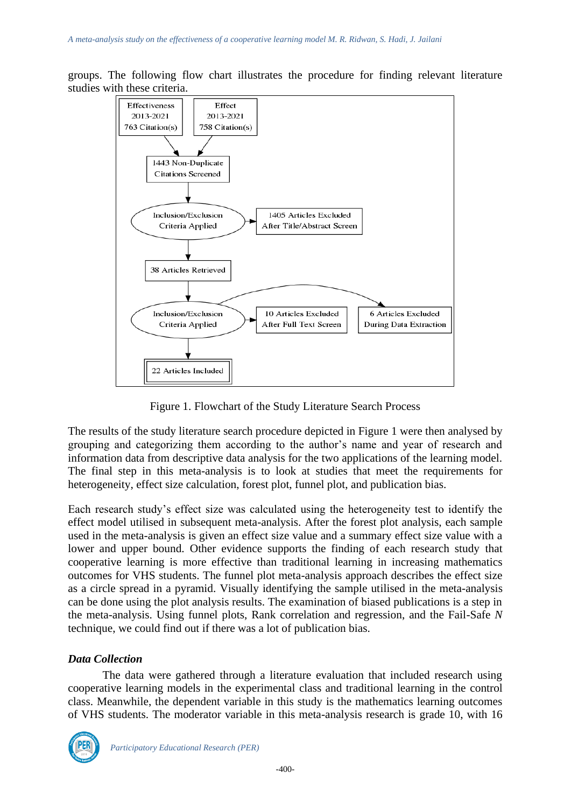



Figure 1. Flowchart of the Study Literature Search Process

The results of the study literature search procedure depicted in Figure 1 were then analysed by grouping and categorizing them according to the author's name and year of research and information data from descriptive data analysis for the two applications of the learning model. The final step in this meta-analysis is to look at studies that meet the requirements for heterogeneity, effect size calculation, forest plot, funnel plot, and publication bias.

Each research study's effect size was calculated using the heterogeneity test to identify the effect model utilised in subsequent meta-analysis. After the forest plot analysis, each sample used in the meta-analysis is given an effect size value and a summary effect size value with a lower and upper bound. Other evidence supports the finding of each research study that cooperative learning is more effective than traditional learning in increasing mathematics outcomes for VHS students. The funnel plot meta-analysis approach describes the effect size as a circle spread in a pyramid. Visually identifying the sample utilised in the meta-analysis can be done using the plot analysis results. The examination of biased publications is a step in the meta-analysis. Using funnel plots, Rank correlation and regression, and the Fail-Safe *N* technique, we could find out if there was a lot of publication bias.

# *Data Collection*

The data were gathered through a literature evaluation that included research using cooperative learning models in the experimental class and traditional learning in the control class. Meanwhile, the dependent variable in this study is the mathematics learning outcomes of VHS students. The moderator variable in this meta-analysis research is grade 10, with 16

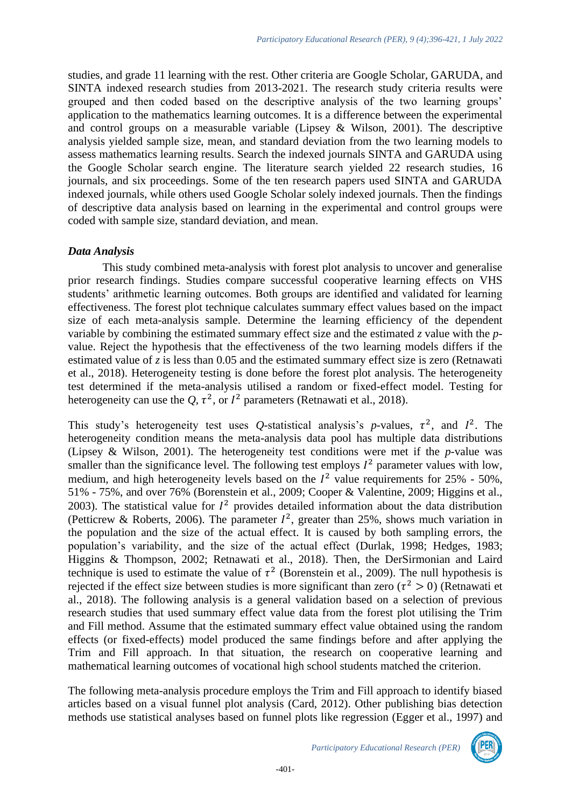studies, and grade 11 learning with the rest. Other criteria are Google Scholar, GARUDA, and SINTA indexed research studies from 2013-2021. The research study criteria results were grouped and then coded based on the descriptive analysis of the two learning groups' application to the mathematics learning outcomes. It is a difference between the experimental and control groups on a measurable variable (Lipsey  $\&$  Wilson, 2001). The descriptive analysis yielded sample size, mean, and standard deviation from the two learning models to assess mathematics learning results. Search the indexed journals SINTA and GARUDA using the Google Scholar search engine. The literature search yielded 22 research studies, 16 journals, and six proceedings. Some of the ten research papers used SINTA and GARUDA indexed journals, while others used Google Scholar solely indexed journals. Then the findings of descriptive data analysis based on learning in the experimental and control groups were coded with sample size, standard deviation, and mean.

### *Data Analysis*

This study combined meta-analysis with forest plot analysis to uncover and generalise prior research findings. Studies compare successful cooperative learning effects on VHS students' arithmetic learning outcomes. Both groups are identified and validated for learning effectiveness. The forest plot technique calculates summary effect values based on the impact size of each meta-analysis sample. Determine the learning efficiency of the dependent variable by combining the estimated summary effect size and the estimated *z* value with the *p*value. Reject the hypothesis that the effectiveness of the two learning models differs if the estimated value of *z* is less than 0.05 and the estimated summary effect size is zero (Retnawati et al., 2018). Heterogeneity testing is done before the forest plot analysis. The heterogeneity test determined if the meta-analysis utilised a random or fixed-effect model. Testing for heterogeneity can use the Q,  $\tau^2$ , or  $I^2$  parameters (Retnawati et al., 2018).

This study's heterogeneity test uses *Q*-statistical analysis's *p*-values,  $\tau^2$ , and  $I^2$ . The heterogeneity condition means the meta-analysis data pool has multiple data distributions (Lipsey & Wilson, 2001). The heterogeneity test conditions were met if the *p*-value was smaller than the significance level. The following test employs  $I^2$  parameter values with low, medium, and high heterogeneity levels based on the  $I^2$  value requirements for 25% - 50%, 51% - 75%, and over 76% (Borenstein et al., 2009; Cooper & Valentine, 2009; Higgins et al., 2003). The statistical value for  $I^2$  provides detailed information about the data distribution (Petticrew & Roberts, 2006). The parameter  $I^2$ , greater than 25%, shows much variation in the population and the size of the actual effect. It is caused by both sampling errors, the population's variability, and the size of the actual effect (Durlak, 1998; Hedges, 1983; Higgins & Thompson, 2002; Retnawati et al., 2018). Then, the DerSirmonian and Laird technique is used to estimate the value of  $\tau^2$  (Borenstein et al., 2009). The null hypothesis is rejected if the effect size between studies is more significant than zero ( $\tau^2 > 0$ ) (Retnawati et al., 2018). The following analysis is a general validation based on a selection of previous research studies that used summary effect value data from the forest plot utilising the Trim and Fill method. Assume that the estimated summary effect value obtained using the random effects (or fixed-effects) model produced the same findings before and after applying the Trim and Fill approach. In that situation, the research on cooperative learning and mathematical learning outcomes of vocational high school students matched the criterion.

The following meta-analysis procedure employs the Trim and Fill approach to identify biased articles based on a visual funnel plot analysis (Card, 2012). Other publishing bias detection methods use statistical analyses based on funnel plots like regression (Egger et al., 1997) and

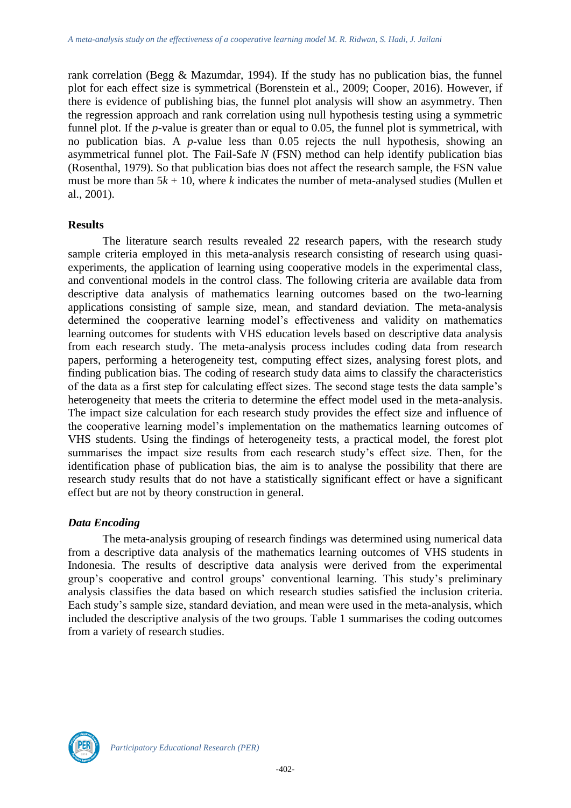rank correlation (Begg & Mazumdar, 1994). If the study has no publication bias, the funnel plot for each effect size is symmetrical (Borenstein et al., 2009; Cooper, 2016). However, if there is evidence of publishing bias, the funnel plot analysis will show an asymmetry. Then the regression approach and rank correlation using null hypothesis testing using a symmetric funnel plot. If the *p*-value is greater than or equal to 0.05, the funnel plot is symmetrical, with no publication bias. A *p*-value less than 0.05 rejects the null hypothesis, showing an asymmetrical funnel plot. The Fail-Safe *N* (FSN) method can help identify publication bias (Rosenthal, 1979). So that publication bias does not affect the research sample, the FSN value must be more than  $5k + 10$ , where *k* indicates the number of meta-analysed studies (Mullen et al., 2001).

#### **Results**

The literature search results revealed 22 research papers, with the research study sample criteria employed in this meta-analysis research consisting of research using quasiexperiments, the application of learning using cooperative models in the experimental class, and conventional models in the control class. The following criteria are available data from descriptive data analysis of mathematics learning outcomes based on the two-learning applications consisting of sample size, mean, and standard deviation. The meta-analysis determined the cooperative learning model's effectiveness and validity on mathematics learning outcomes for students with VHS education levels based on descriptive data analysis from each research study. The meta-analysis process includes coding data from research papers, performing a heterogeneity test, computing effect sizes, analysing forest plots, and finding publication bias. The coding of research study data aims to classify the characteristics of the data as a first step for calculating effect sizes. The second stage tests the data sample's heterogeneity that meets the criteria to determine the effect model used in the meta-analysis. The impact size calculation for each research study provides the effect size and influence of the cooperative learning model's implementation on the mathematics learning outcomes of VHS students. Using the findings of heterogeneity tests, a practical model, the forest plot summarises the impact size results from each research study's effect size. Then, for the identification phase of publication bias, the aim is to analyse the possibility that there are research study results that do not have a statistically significant effect or have a significant effect but are not by theory construction in general.

# *Data Encoding*

The meta-analysis grouping of research findings was determined using numerical data from a descriptive data analysis of the mathematics learning outcomes of VHS students in Indonesia. The results of descriptive data analysis were derived from the experimental group's cooperative and control groups' conventional learning. This study's preliminary analysis classifies the data based on which research studies satisfied the inclusion criteria. Each study's sample size, standard deviation, and mean were used in the meta-analysis, which included the descriptive analysis of the two groups. Table 1 summarises the coding outcomes from a variety of research studies.

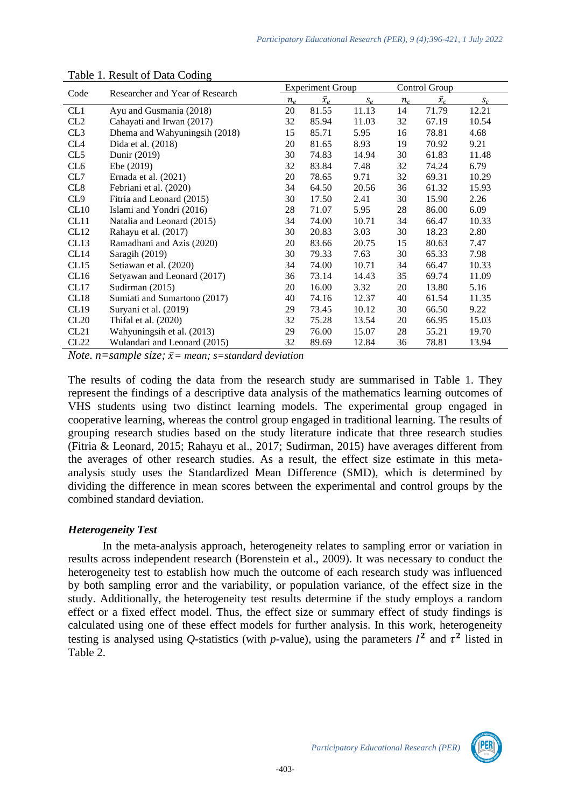| Code            | Researcher and Year of Research | <b>Experiment Group</b> |             |       | Control Group |             |       |
|-----------------|---------------------------------|-------------------------|-------------|-------|---------------|-------------|-------|
|                 |                                 |                         | $\bar{x}_e$ | $S_e$ | $n_c$         | $\bar{x}_c$ | $S_C$ |
| CL1             | Ayu and Gusmania (2018)         | 20                      | 81.55       | 11.13 | 14            | 71.79       | 12.21 |
| CL2             | Cahayati and Irwan (2017)       | 32                      | 85.94       | 11.03 | 32            | 67.19       | 10.54 |
| CL3             | Dhema and Wahyuningsih (2018)   | 15                      | 85.71       | 5.95  | 16            | 78.81       | 4.68  |
| CL <sub>4</sub> | Dida et al. (2018)              | 20                      | 81.65       | 8.93  | 19            | 70.92       | 9.21  |
| CL5             | Dunir (2019)                    | 30                      | 74.83       | 14.94 | 30            | 61.83       | 11.48 |
| CL <sub>6</sub> | Ebe $(2019)$                    | 32                      | 83.84       | 7.48  | 32            | 74.24       | 6.79  |
| CL7             | Ernada et al. $(2021)$          | 20                      | 78.65       | 9.71  | 32            | 69.31       | 10.29 |
| CL8             | Febriani et al. (2020)          | 34                      | 64.50       | 20.56 | 36            | 61.32       | 15.93 |
| CL <sub>9</sub> | Fitria and Leonard (2015)       | 30                      | 17.50       | 2.41  | 30            | 15.90       | 2.26  |
| CL10            | Islami and Yondri (2016)        | 28                      | 71.07       | 5.95  | 28            | 86.00       | 6.09  |
| CL11            | Natalia and Leonard (2015)      | 34                      | 74.00       | 10.71 | 34            | 66.47       | 10.33 |
| CL12            | Rahayu et al. (2017)            | 30                      | 20.83       | 3.03  | 30            | 18.23       | 2.80  |
| CL13            | Ramadhani and Azis (2020)       | 20                      | 83.66       | 20.75 | 15            | 80.63       | 7.47  |
| CL14            | Saragih (2019)                  | 30                      | 79.33       | 7.63  | 30            | 65.33       | 7.98  |
| CL15            | Setiawan et al. (2020)          | 34                      | 74.00       | 10.71 | 34            | 66.47       | 10.33 |
| CL16            | Setyawan and Leonard (2017)     | 36                      | 73.14       | 14.43 | 35            | 69.74       | 11.09 |
| CL17            | Sudirman $(2015)$               | 20                      | 16.00       | 3.32  | 20            | 13.80       | 5.16  |
| CL18            | Sumiati and Sumartono (2017)    | 40                      | 74.16       | 12.37 | 40            | 61.54       | 11.35 |
| CL19            | Suryani et al. (2019)           | 29                      | 73.45       | 10.12 | 30            | 66.50       | 9.22  |
| CL20            | Thifal et al. $(2020)$          | 32                      | 75.28       | 13.54 | 20            | 66.95       | 15.03 |
| CL21            | Wahyuningsih et al. (2013)      | 29                      | 76.00       | 15.07 | 28            | 55.21       | 19.70 |
| CL22            | Wulandari and Leonard (2015)    | 32                      | 89.69       | 12.84 | 36            | 78.81       | 13.94 |

#### Table 1. Result of Data Coding

*Note.*  $n = sample$  *size;*  $\bar{x} = mean$ *;*  $s = standard deviation$ 

The results of coding the data from the research study are summarised in Table 1. They represent the findings of a descriptive data analysis of the mathematics learning outcomes of VHS students using two distinct learning models. The experimental group engaged in cooperative learning, whereas the control group engaged in traditional learning. The results of grouping research studies based on the study literature indicate that three research studies (Fitria & Leonard, 2015; Rahayu et al., 2017; Sudirman, 2015) have averages different from the averages of other research studies. As a result, the effect size estimate in this metaanalysis study uses the Standardized Mean Difference (SMD), which is determined by dividing the difference in mean scores between the experimental and control groups by the combined standard deviation.

# *Heterogeneity Test*

In the meta-analysis approach, heterogeneity relates to sampling error or variation in results across independent research (Borenstein et al., 2009). It was necessary to conduct the heterogeneity test to establish how much the outcome of each research study was influenced by both sampling error and the variability, or population variance, of the effect size in the study. Additionally, the heterogeneity test results determine if the study employs a random effect or a fixed effect model. Thus, the effect size or summary effect of study findings is calculated using one of these effect models for further analysis. In this work, heterogeneity testing is analysed using Q-statistics (with *p*-value), using the parameters  $I^2$  and  $\tau^2$  listed in Table 2.

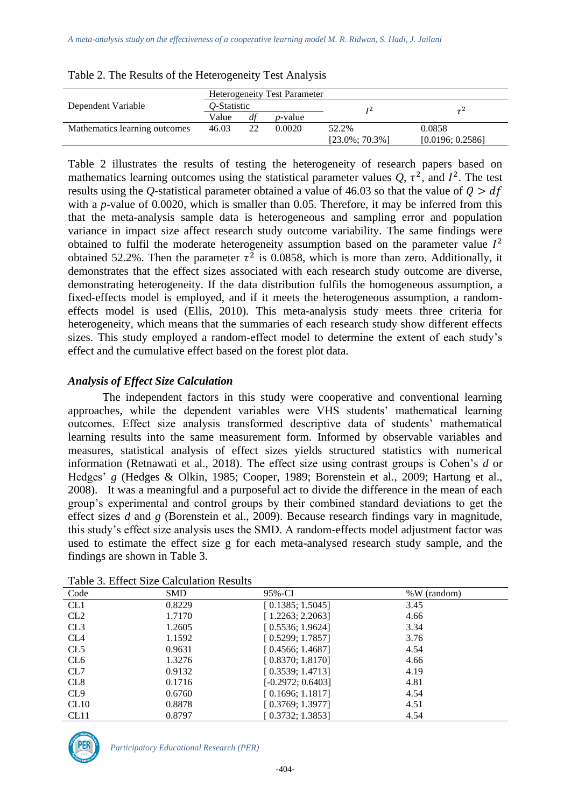|                               |             |    | <b>Heterogeneity Test Parameter</b> |                    |                  |  |
|-------------------------------|-------------|----|-------------------------------------|--------------------|------------------|--|
| Dependent Variable            | O-Statistic |    |                                     | T 2                |                  |  |
|                               | Value       | df | <i>p</i> -value                     |                    |                  |  |
| Mathematics learning outcomes | 46.03       | 22 | 0.0020                              | 52.2%              | 0.0858           |  |
|                               |             |    |                                     | $[23.0\%; 70.3\%]$ | [0.0196; 0.2586] |  |

Table 2. The Results of the Heterogeneity Test Analysis

Table 2 illustrates the results of testing the heterogeneity of research papers based on mathematics learning outcomes using the statistical parameter values  $Q$ ,  $\tau^2$ , and  $I^2$ . The test results using the *Q*-statistical parameter obtained a value of 46.03 so that the value of  $Q > df$ with a *p*-value of 0.0020, which is smaller than 0.05. Therefore, it may be inferred from this that the meta-analysis sample data is heterogeneous and sampling error and population variance in impact size affect research study outcome variability. The same findings were obtained to fulfil the moderate heterogeneity assumption based on the parameter value  $I^2$ obtained 52.2%. Then the parameter  $\tau^2$  is 0.0858, which is more than zero. Additionally, it demonstrates that the effect sizes associated with each research study outcome are diverse, demonstrating heterogeneity. If the data distribution fulfils the homogeneous assumption, a fixed-effects model is employed, and if it meets the heterogeneous assumption, a randomeffects model is used (Ellis, 2010). This meta-analysis study meets three criteria for heterogeneity, which means that the summaries of each research study show different effects sizes. This study employed a random-effect model to determine the extent of each study's effect and the cumulative effect based on the forest plot data.

# *Analysis of Effect Size Calculation*

The independent factors in this study were cooperative and conventional learning approaches, while the dependent variables were VHS students' mathematical learning outcomes. Effect size analysis transformed descriptive data of students' mathematical learning results into the same measurement form. Informed by observable variables and measures, statistical analysis of effect sizes yields structured statistics with numerical information (Retnawati et al., 2018). The effect size using contrast groups is Cohen's *d* or Hedges' *g* (Hedges & Olkin, 1985; Cooper, 1989; Borenstein et al., 2009; Hartung et al., 2008). It was a meaningful and a purposeful act to divide the difference in the mean of each group's experimental and control groups by their combined standard deviations to get the effect sizes *d* and *g* (Borenstein et al., 2009). Because research findings vary in magnitude, this study's effect size analysis uses the SMD. A random-effects model adjustment factor was used to estimate the effect size g for each meta-analysed research study sample, and the findings are shown in Table 3.

| Code             | <b>SMD</b> | 95%-CI              | $\%W$ (random) |  |  |  |
|------------------|------------|---------------------|----------------|--|--|--|
| CL <sub>1</sub>  | 0.8229     | [0.1385; 1.5045]    | 3.45           |  |  |  |
| CL2              | 1.7170     | [1.2263; 2.2063]    | 4.66           |  |  |  |
| CL3              | 1.2605     | [0.5536; 1.9624]    | 3.34           |  |  |  |
| CL <sub>4</sub>  | 1.1592     | [0.5299; 1.7857]    | 3.76           |  |  |  |
| CL5              | 0.9631     | [0.4566; 1.4687]    | 4.54           |  |  |  |
| CL <sub>6</sub>  | 1.3276     | [ 0.8370; 1.8170]   | 4.66           |  |  |  |
| CL7              | 0.9132     | [0.3539; 1.4713]    | 4.19           |  |  |  |
| CL <sub>8</sub>  | 0.1716     | $[-0.2972; 0.6403]$ | 4.81           |  |  |  |
| CL <sub>9</sub>  | 0.6760     | [0.1696; 1.1817]    | 4.54           |  |  |  |
| CL10             | 0.8878     | [0.3769; 1.3977]    | 4.51           |  |  |  |
| CL <sub>11</sub> | 0.8797     | [ 0.3732: 1.3853]   | 4.54           |  |  |  |

Table 3. Effect Size Calculation Results

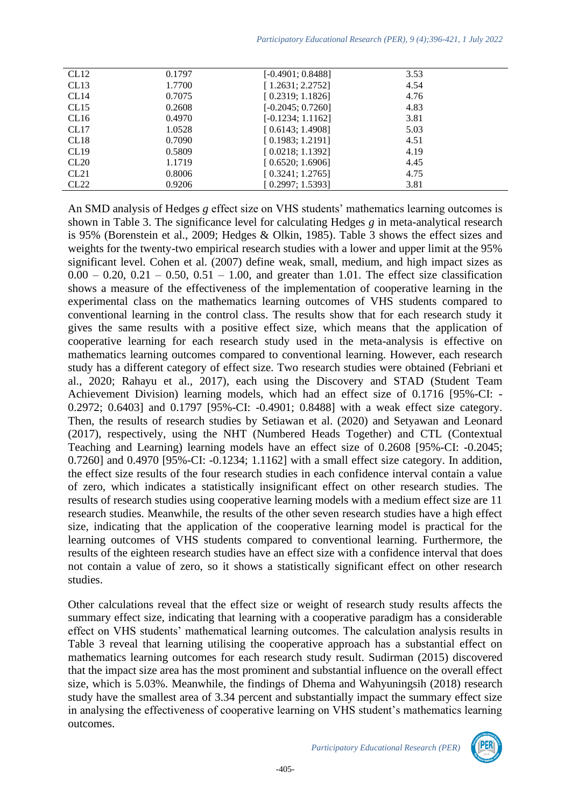| CL12 | 0.1797 | $[-0.4901; 0.8488]$ | 3.53 |  |
|------|--------|---------------------|------|--|
| CL13 | 1.7700 | [1.2631; 2.2752]    | 4.54 |  |
| CL14 | 0.7075 | [0.2319; 1.1826]    | 4.76 |  |
| CL15 | 0.2608 | $[-0.2045; 0.7260]$ | 4.83 |  |
| CL16 | 0.4970 | $[-0.1234; 1.1162]$ | 3.81 |  |
| CL17 | 1.0528 | [0.6143; 1.4908]    | 5.03 |  |
| CL18 | 0.7090 | [0.1983; 1.2191]    | 4.51 |  |
| CL19 | 0.5809 | [0.0218; 1.1392]    | 4.19 |  |
| CL20 | 1.1719 | [0.6520; 1.6906]    | 4.45 |  |
| CL21 | 0.8006 | [0.3241; 1.2765]    | 4.75 |  |
| CL22 | 0.9206 | [0.2997; 1.5393]    | 3.81 |  |
|      |        |                     |      |  |

An SMD analysis of Hedges *g* effect size on VHS students' mathematics learning outcomes is shown in Table 3. The significance level for calculating Hedges *g* in meta-analytical research is 95% (Borenstein et al., 2009; Hedges & Olkin, 1985). Table 3 shows the effect sizes and weights for the twenty-two empirical research studies with a lower and upper limit at the 95% significant level. Cohen et al. (2007) define weak, small, medium, and high impact sizes as  $0.00 - 0.20, 0.21 - 0.50, 0.51 - 1.00$ , and greater than 1.01. The effect size classification shows a measure of the effectiveness of the implementation of cooperative learning in the experimental class on the mathematics learning outcomes of VHS students compared to conventional learning in the control class. The results show that for each research study it gives the same results with a positive effect size, which means that the application of cooperative learning for each research study used in the meta-analysis is effective on mathematics learning outcomes compared to conventional learning. However, each research study has a different category of effect size. Two research studies were obtained (Febriani et al., 2020; Rahayu et al., 2017), each using the Discovery and STAD (Student Team Achievement Division) learning models, which had an effect size of 0.1716 [95%-CI: - 0.2972; 0.6403] and 0.1797 [95%-CI: -0.4901; 0.8488] with a weak effect size category. Then, the results of research studies by Setiawan et al. (2020) and Setyawan and Leonard (2017), respectively, using the NHT (Numbered Heads Together) and CTL (Contextual Teaching and Learning) learning models have an effect size of 0.2608 [95%-CI: -0.2045; 0.7260] and 0.4970 [95%-CI: -0.1234; 1.1162] with a small effect size category. In addition, the effect size results of the four research studies in each confidence interval contain a value of zero, which indicates a statistically insignificant effect on other research studies. The results of research studies using cooperative learning models with a medium effect size are 11 research studies. Meanwhile, the results of the other seven research studies have a high effect size, indicating that the application of the cooperative learning model is practical for the learning outcomes of VHS students compared to conventional learning. Furthermore, the results of the eighteen research studies have an effect size with a confidence interval that does not contain a value of zero, so it shows a statistically significant effect on other research studies.

Other calculations reveal that the effect size or weight of research study results affects the summary effect size, indicating that learning with a cooperative paradigm has a considerable effect on VHS students' mathematical learning outcomes. The calculation analysis results in Table 3 reveal that learning utilising the cooperative approach has a substantial effect on mathematics learning outcomes for each research study result. Sudirman (2015) discovered that the impact size area has the most prominent and substantial influence on the overall effect size, which is 5.03%. Meanwhile, the findings of Dhema and Wahyuningsih (2018) research study have the smallest area of 3.34 percent and substantially impact the summary effect size in analysing the effectiveness of cooperative learning on VHS student's mathematics learning outcomes.

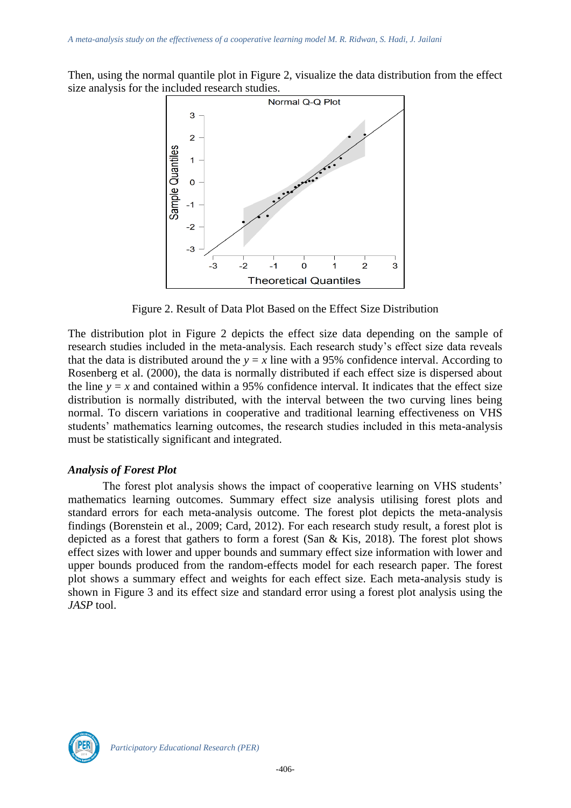Then, using the normal quantile plot in Figure 2, visualize the data distribution from the effect size analysis for the included research studies.



Figure 2. Result of Data Plot Based on the Effect Size Distribution

The distribution plot in Figure 2 depicts the effect size data depending on the sample of research studies included in the meta-analysis. Each research study's effect size data reveals that the data is distributed around the  $y = x$  line with a 95% confidence interval. According to Rosenberg et al. (2000), the data is normally distributed if each effect size is dispersed about the line  $y = x$  and contained within a 95% confidence interval. It indicates that the effect size distribution is normally distributed, with the interval between the two curving lines being normal. To discern variations in cooperative and traditional learning effectiveness on VHS students' mathematics learning outcomes, the research studies included in this meta-analysis must be statistically significant and integrated.

# *Analysis of Forest Plot*

The forest plot analysis shows the impact of cooperative learning on VHS students' mathematics learning outcomes. Summary effect size analysis utilising forest plots and standard errors for each meta-analysis outcome. The forest plot depicts the meta-analysis findings (Borenstein et al., 2009; Card, 2012). For each research study result, a forest plot is depicted as a forest that gathers to form a forest (San & Kis, 2018). The forest plot shows effect sizes with lower and upper bounds and summary effect size information with lower and upper bounds produced from the random-effects model for each research paper. The forest plot shows a summary effect and weights for each effect size. Each meta-analysis study is shown in Figure 3 and its effect size and standard error using a forest plot analysis using the *JASP* tool.

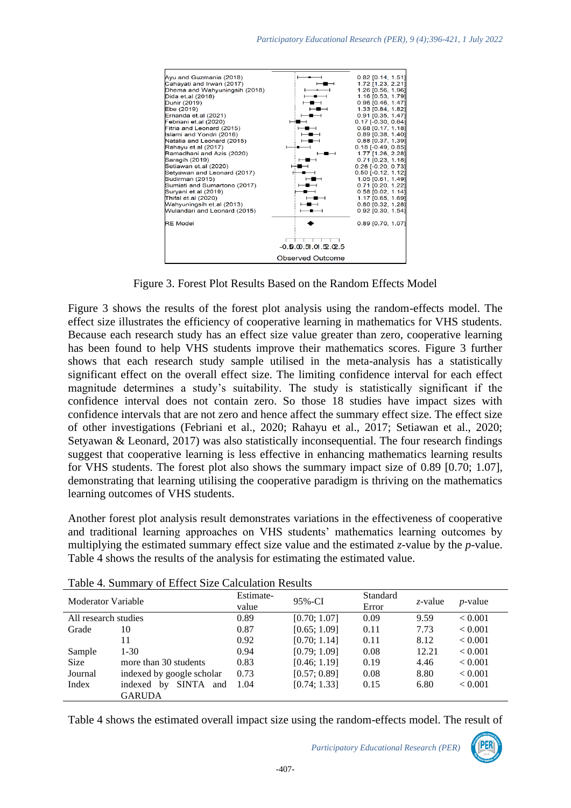

Figure 3. Forest Plot Results Based on the Random Effects Model

Figure 3 shows the results of the forest plot analysis using the random-effects model. The effect size illustrates the efficiency of cooperative learning in mathematics for VHS students. Because each research study has an effect size value greater than zero, cooperative learning has been found to help VHS students improve their mathematics scores. Figure 3 further shows that each research study sample utilised in the meta-analysis has a statistically significant effect on the overall effect size. The limiting confidence interval for each effect magnitude determines a study's suitability. The study is statistically significant if the confidence interval does not contain zero. So those 18 studies have impact sizes with confidence intervals that are not zero and hence affect the summary effect size. The effect size of other investigations (Febriani et al., 2020; Rahayu et al., 2017; Setiawan et al., 2020; Setyawan & Leonard, 2017) was also statistically inconsequential. The four research findings suggest that cooperative learning is less effective in enhancing mathematics learning results for VHS students. The forest plot also shows the summary impact size of 0.89 [0.70; 1.07], demonstrating that learning utilising the cooperative paradigm is thriving on the mathematics learning outcomes of VHS students.

Another forest plot analysis result demonstrates variations in the effectiveness of cooperative and traditional learning approaches on VHS students' mathematics learning outcomes by multiplying the estimated summary effect size value and the estimated  $\zeta$ -value by the *p*-value. Table 4 shows the results of the analysis for estimating the estimated value.

| Moderator Variable   |                       | Estimate-<br>value        | 95%-CI | Standard<br>Error | z-value | $p$ -value |                |
|----------------------|-----------------------|---------------------------|--------|-------------------|---------|------------|----------------|
| All research studies |                       |                           | 0.89   | [0.70; 1.07]      | 0.09    | 9.59       | < 0.001        |
| Grade                | 10                    |                           | 0.87   | [0.65; 1.09]      | 0.11    | 7.73       | < 0.001        |
|                      | 11                    |                           | 0.92   | [0.70; 1.14]      | 0.11    | 8.12       | < 0.001        |
| Sample               | $1-30$                |                           | 0.94   | [0.79; 1.09]      | 0.08    | 12.21      | ${}_{< 0.001}$ |
| <b>Size</b>          | more than 30 students |                           | 0.83   | [0.46; 1.19]      | 0.19    | 4.46       | < 0.001        |
| Journal              |                       | indexed by google scholar | 0.73   | [0.57; 0.89]      | 0.08    | 8.80       | < 0.001        |
| Index                | indexed<br>by         | SINTA<br>and              | 1.04   | [0.74; 1.33]      | 0.15    | 6.80       | < 0.001        |
|                      | <b>GARUDA</b>         |                           |        |                   |         |            |                |

Table 4. Summary of Effect Size Calculation Results

Table 4 shows the estimated overall impact size using the random-effects model. The result of

*Participatory Educational Research (PER)*

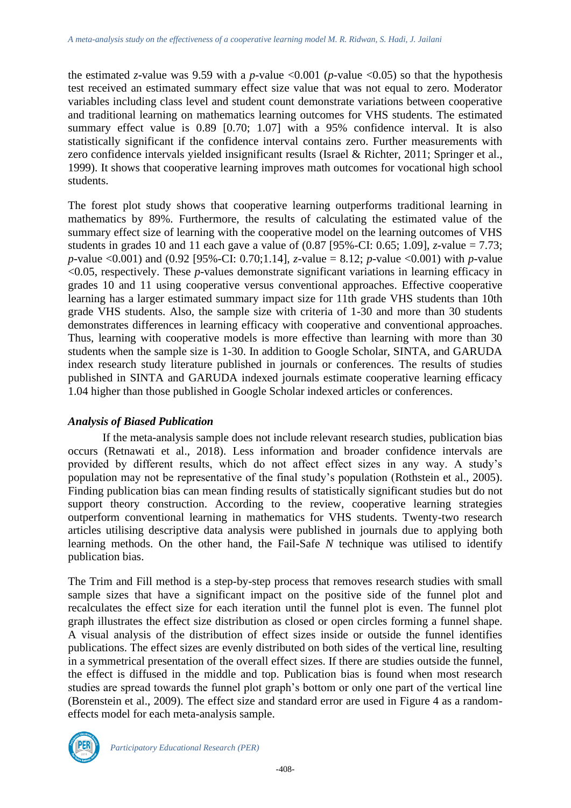the estimated *z*-value was 9.59 with a *p*-value <0.001 (*p*-value <0.05) so that the hypothesis test received an estimated summary effect size value that was not equal to zero. Moderator variables including class level and student count demonstrate variations between cooperative and traditional learning on mathematics learning outcomes for VHS students. The estimated summary effect value is 0.89 [0.70; 1.07] with a 95% confidence interval. It is also statistically significant if the confidence interval contains zero. Further measurements with zero confidence intervals yielded insignificant results (Israel & Richter, 2011; Springer et al., 1999). It shows that cooperative learning improves math outcomes for vocational high school students.

The forest plot study shows that cooperative learning outperforms traditional learning in mathematics by 89%. Furthermore, the results of calculating the estimated value of the summary effect size of learning with the cooperative model on the learning outcomes of VHS students in grades 10 and 11 each gave a value of (0.87 [95%-CI: 0.65; 1.09], *z*-value = 7.73; *p*-value <0.001) and (0.92 [95%-CI: 0.70;1.14], *z*-value = 8.12; *p*-value <0.001) with *p*-value <0.05, respectively. These *p*-values demonstrate significant variations in learning efficacy in grades 10 and 11 using cooperative versus conventional approaches. Effective cooperative learning has a larger estimated summary impact size for 11th grade VHS students than 10th grade VHS students. Also, the sample size with criteria of 1-30 and more than 30 students demonstrates differences in learning efficacy with cooperative and conventional approaches. Thus, learning with cooperative models is more effective than learning with more than 30 students when the sample size is 1-30. In addition to Google Scholar, SINTA, and GARUDA index research study literature published in journals or conferences. The results of studies published in SINTA and GARUDA indexed journals estimate cooperative learning efficacy 1.04 higher than those published in Google Scholar indexed articles or conferences.

#### *Analysis of Biased Publication*

If the meta-analysis sample does not include relevant research studies, publication bias occurs (Retnawati et al., 2018). Less information and broader confidence intervals are provided by different results, which do not affect effect sizes in any way. A study's population may not be representative of the final study's population (Rothstein et al., 2005). Finding publication bias can mean finding results of statistically significant studies but do not support theory construction. According to the review, cooperative learning strategies outperform conventional learning in mathematics for VHS students. Twenty-two research articles utilising descriptive data analysis were published in journals due to applying both learning methods. On the other hand, the Fail-Safe *N* technique was utilised to identify publication bias.

The Trim and Fill method is a step-by-step process that removes research studies with small sample sizes that have a significant impact on the positive side of the funnel plot and recalculates the effect size for each iteration until the funnel plot is even. The funnel plot graph illustrates the effect size distribution as closed or open circles forming a funnel shape. A visual analysis of the distribution of effect sizes inside or outside the funnel identifies publications. The effect sizes are evenly distributed on both sides of the vertical line, resulting in a symmetrical presentation of the overall effect sizes. If there are studies outside the funnel, the effect is diffused in the middle and top. Publication bias is found when most research studies are spread towards the funnel plot graph's bottom or only one part of the vertical line (Borenstein et al., 2009). The effect size and standard error are used in Figure 4 as a randomeffects model for each meta-analysis sample.

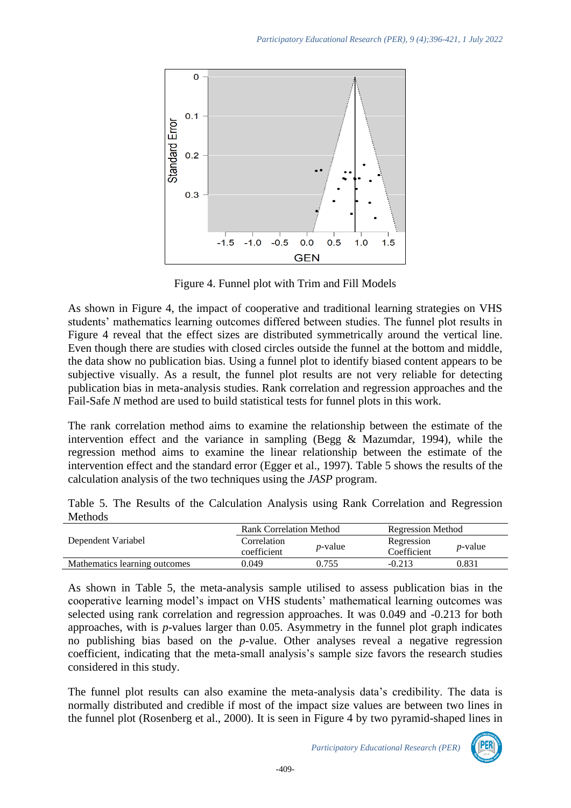

Figure 4. Funnel plot with Trim and Fill Models

As shown in Figure 4, the impact of cooperative and traditional learning strategies on VHS students' mathematics learning outcomes differed between studies. The funnel plot results in Figure 4 reveal that the effect sizes are distributed symmetrically around the vertical line. Even though there are studies with closed circles outside the funnel at the bottom and middle, the data show no publication bias. Using a funnel plot to identify biased content appears to be subjective visually. As a result, the funnel plot results are not very reliable for detecting publication bias in meta-analysis studies. Rank correlation and regression approaches and the Fail-Safe *N* method are used to build statistical tests for funnel plots in this work.

The rank correlation method aims to examine the relationship between the estimate of the intervention effect and the variance in sampling (Begg & Mazumdar, 1994), while the regression method aims to examine the linear relationship between the estimate of the intervention effect and the standard error (Egger et al., 1997). Table 5 shows the results of the calculation analysis of the two techniques using the *JASP* program.

Table 5. The Results of the Calculation Analysis using Rank Correlation and Regression Methods

|                               | Rank Correlation Method    |                 | <b>Regression Method</b>  |                 |
|-------------------------------|----------------------------|-----------------|---------------------------|-----------------|
| Dependent Variabel            | Correlation<br>coefficient | <i>p</i> -value | Regression<br>Coefficient | <i>p</i> -value |
| Mathematics learning outcomes | 0.049                      | 0.755           | $-0.213$                  | 0.831           |

As shown in Table 5, the meta-analysis sample utilised to assess publication bias in the cooperative learning model's impact on VHS students' mathematical learning outcomes was selected using rank correlation and regression approaches. It was 0.049 and -0.213 for both approaches, with is *p*-values larger than 0.05. Asymmetry in the funnel plot graph indicates no publishing bias based on the *p*-value. Other analyses reveal a negative regression coefficient, indicating that the meta-small analysis's sample size favors the research studies considered in this study.

The funnel plot results can also examine the meta-analysis data's credibility. The data is normally distributed and credible if most of the impact size values are between two lines in the funnel plot (Rosenberg et al., 2000). It is seen in Figure 4 by two pyramid-shaped lines in

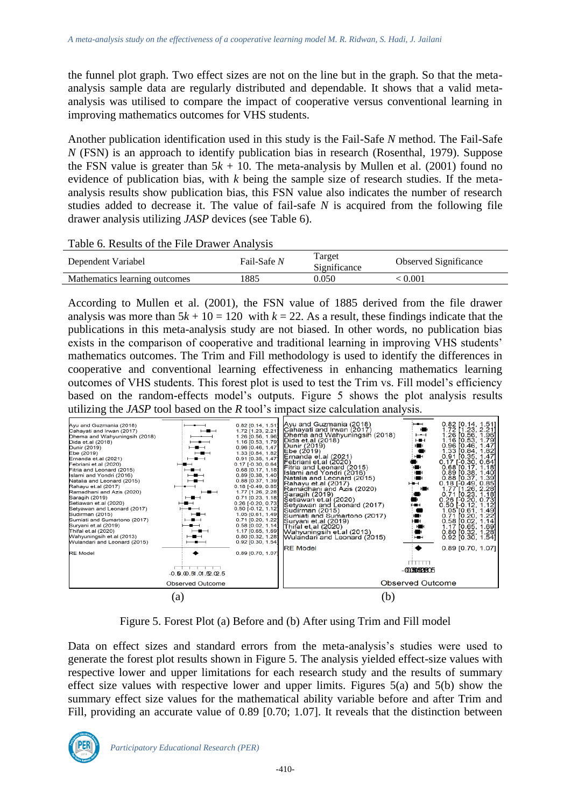the funnel plot graph. Two effect sizes are not on the line but in the graph. So that the metaanalysis sample data are regularly distributed and dependable. It shows that a valid metaanalysis was utilised to compare the impact of cooperative versus conventional learning in improving mathematics outcomes for VHS students.

Another publication identification used in this study is the Fail-Safe *N* method. The Fail-Safe *N* (FSN) is an approach to identify publication bias in research (Rosenthal, 1979). Suppose the FSN value is greater than  $5k + 10$ . The meta-analysis by Mullen et al. (2001) found no evidence of publication bias, with *k* being the sample size of research studies. If the metaanalysis results show publication bias, this FSN value also indicates the number of research studies added to decrease it. The value of fail-safe *N* is acquired from the following file drawer analysis utilizing *JASP* devices (see Table 6).

| Table 6. Results of the File Drawer Analysis |  |
|----------------------------------------------|--|
|----------------------------------------------|--|

| Dependent Variabel            | Fail-Safe N | l'arget<br>Significance | Observed Significance |
|-------------------------------|-------------|-------------------------|-----------------------|
| Mathematics learning outcomes | 1885        | 0.050                   | : 0.001               |

According to Mullen et al. (2001), the FSN value of 1885 derived from the file drawer analysis was more than  $5k + 10 = 120$  with  $k = 22$ . As a result, these findings indicate that the publications in this meta-analysis study are not biased. In other words, no publication bias exists in the comparison of cooperative and traditional learning in improving VHS students' mathematics outcomes. The Trim and Fill methodology is used to identify the differences in cooperative and conventional learning effectiveness in enhancing mathematics learning outcomes of VHS students. This forest plot is used to test the Trim vs. Fill model's efficiency based on the random-effects model's outputs. Figure 5 shows the plot analysis results utilizing the *JASP* tool based on the *R* tool's impact size calculation analysis.



Figure 5. Forest Plot (a) Before and (b) After using Trim and Fill model

Data on effect sizes and standard errors from the meta-analysis's studies were used to generate the forest plot results shown in Figure 5. The analysis yielded effect-size values with respective lower and upper limitations for each research study and the results of summary effect size values with respective lower and upper limits. Figures 5(a) and 5(b) show the summary effect size values for the mathematical ability variable before and after Trim and Fill, providing an accurate value of 0.89 [0.70; 1.07]. It reveals that the distinction between

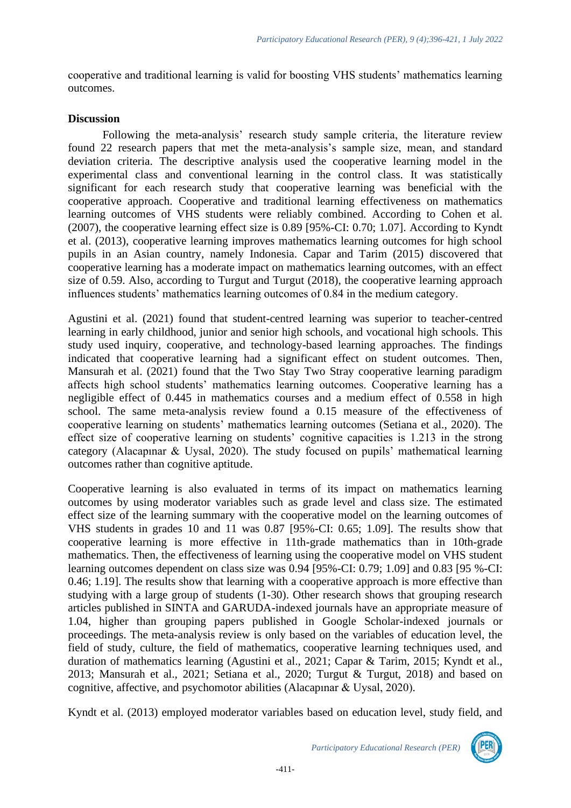cooperative and traditional learning is valid for boosting VHS students' mathematics learning outcomes.

### **Discussion**

Following the meta-analysis' research study sample criteria, the literature review found 22 research papers that met the meta-analysis's sample size, mean, and standard deviation criteria. The descriptive analysis used the cooperative learning model in the experimental class and conventional learning in the control class. It was statistically significant for each research study that cooperative learning was beneficial with the cooperative approach. Cooperative and traditional learning effectiveness on mathematics learning outcomes of VHS students were reliably combined. According to Cohen et al. (2007), the cooperative learning effect size is 0.89 [95%-CI: 0.70; 1.07]. According to Kyndt et al. (2013), cooperative learning improves mathematics learning outcomes for high school pupils in an Asian country, namely Indonesia. Capar and Tarim (2015) discovered that cooperative learning has a moderate impact on mathematics learning outcomes, with an effect size of 0.59. Also, according to Turgut and Turgut (2018), the cooperative learning approach influences students' mathematics learning outcomes of 0.84 in the medium category.

Agustini et al. (2021) found that student-centred learning was superior to teacher-centred learning in early childhood, junior and senior high schools, and vocational high schools. This study used inquiry, cooperative, and technology-based learning approaches. The findings indicated that cooperative learning had a significant effect on student outcomes. Then, Mansurah et al. (2021) found that the Two Stay Two Stray cooperative learning paradigm affects high school students' mathematics learning outcomes. Cooperative learning has a negligible effect of 0.445 in mathematics courses and a medium effect of 0.558 in high school. The same meta-analysis review found a 0.15 measure of the effectiveness of cooperative learning on students' mathematics learning outcomes (Setiana et al., 2020). The effect size of cooperative learning on students' cognitive capacities is 1.213 in the strong category (Alacapınar & Uysal, 2020). The study focused on pupils' mathematical learning outcomes rather than cognitive aptitude.

Cooperative learning is also evaluated in terms of its impact on mathematics learning outcomes by using moderator variables such as grade level and class size. The estimated effect size of the learning summary with the cooperative model on the learning outcomes of VHS students in grades 10 and 11 was 0.87 [95%-CI: 0.65; 1.09]. The results show that cooperative learning is more effective in 11th-grade mathematics than in 10th-grade mathematics. Then, the effectiveness of learning using the cooperative model on VHS student learning outcomes dependent on class size was 0.94 [95%-CI: 0.79; 1.09] and 0.83 [95 %-CI: 0.46; 1.19]. The results show that learning with a cooperative approach is more effective than studying with a large group of students (1-30). Other research shows that grouping research articles published in SINTA and GARUDA-indexed journals have an appropriate measure of 1.04, higher than grouping papers published in Google Scholar-indexed journals or proceedings. The meta-analysis review is only based on the variables of education level, the field of study, culture, the field of mathematics, cooperative learning techniques used, and duration of mathematics learning (Agustini et al., 2021; Capar & Tarim, 2015; Kyndt et al., 2013; Mansurah et al., 2021; Setiana et al., 2020; Turgut & Turgut, 2018) and based on cognitive, affective, and psychomotor abilities (Alacapınar & Uysal, 2020).

Kyndt et al. (2013) employed moderator variables based on education level, study field, and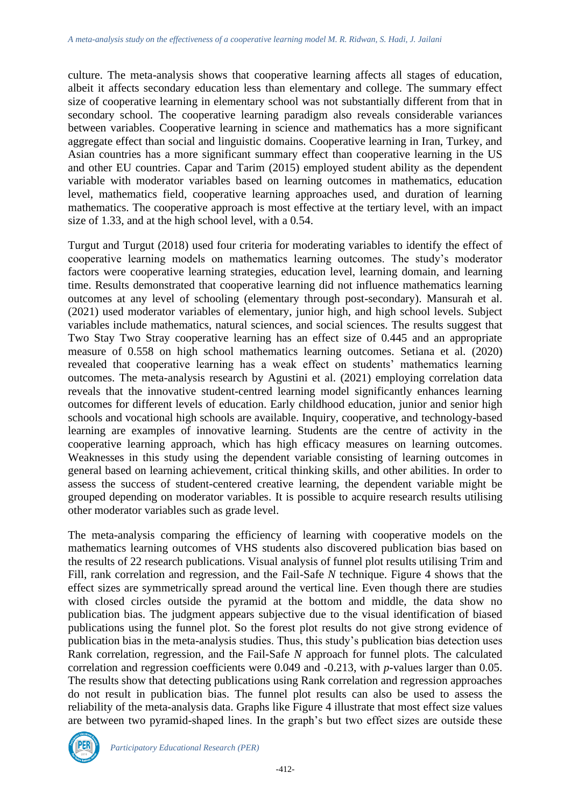culture. The meta-analysis shows that cooperative learning affects all stages of education, albeit it affects secondary education less than elementary and college. The summary effect size of cooperative learning in elementary school was not substantially different from that in secondary school. The cooperative learning paradigm also reveals considerable variances between variables. Cooperative learning in science and mathematics has a more significant aggregate effect than social and linguistic domains. Cooperative learning in Iran, Turkey, and Asian countries has a more significant summary effect than cooperative learning in the US and other EU countries. Capar and Tarim (2015) employed student ability as the dependent variable with moderator variables based on learning outcomes in mathematics, education level, mathematics field, cooperative learning approaches used, and duration of learning mathematics. The cooperative approach is most effective at the tertiary level, with an impact size of 1.33, and at the high school level, with a 0.54.

Turgut and Turgut (2018) used four criteria for moderating variables to identify the effect of cooperative learning models on mathematics learning outcomes. The study's moderator factors were cooperative learning strategies, education level, learning domain, and learning time. Results demonstrated that cooperative learning did not influence mathematics learning outcomes at any level of schooling (elementary through post-secondary). Mansurah et al. (2021) used moderator variables of elementary, junior high, and high school levels. Subject variables include mathematics, natural sciences, and social sciences. The results suggest that Two Stay Two Stray cooperative learning has an effect size of 0.445 and an appropriate measure of 0.558 on high school mathematics learning outcomes. Setiana et al. (2020) revealed that cooperative learning has a weak effect on students' mathematics learning outcomes. The meta-analysis research by Agustini et al. (2021) employing correlation data reveals that the innovative student-centred learning model significantly enhances learning outcomes for different levels of education. Early childhood education, junior and senior high schools and vocational high schools are available. Inquiry, cooperative, and technology-based learning are examples of innovative learning. Students are the centre of activity in the cooperative learning approach, which has high efficacy measures on learning outcomes. Weaknesses in this study using the dependent variable consisting of learning outcomes in general based on learning achievement, critical thinking skills, and other abilities. In order to assess the success of student-centered creative learning, the dependent variable might be grouped depending on moderator variables. It is possible to acquire research results utilising other moderator variables such as grade level.

The meta-analysis comparing the efficiency of learning with cooperative models on the mathematics learning outcomes of VHS students also discovered publication bias based on the results of 22 research publications. Visual analysis of funnel plot results utilising Trim and Fill, rank correlation and regression, and the Fail-Safe *N* technique. Figure 4 shows that the effect sizes are symmetrically spread around the vertical line. Even though there are studies with closed circles outside the pyramid at the bottom and middle, the data show no publication bias. The judgment appears subjective due to the visual identification of biased publications using the funnel plot. So the forest plot results do not give strong evidence of publication bias in the meta-analysis studies. Thus, this study's publication bias detection uses Rank correlation, regression, and the Fail-Safe *N* approach for funnel plots. The calculated correlation and regression coefficients were 0.049 and -0.213, with *p*-values larger than 0.05. The results show that detecting publications using Rank correlation and regression approaches do not result in publication bias. The funnel plot results can also be used to assess the reliability of the meta-analysis data. Graphs like Figure 4 illustrate that most effect size values are between two pyramid-shaped lines. In the graph's but two effect sizes are outside these



*Participatory Educational Research (PER)*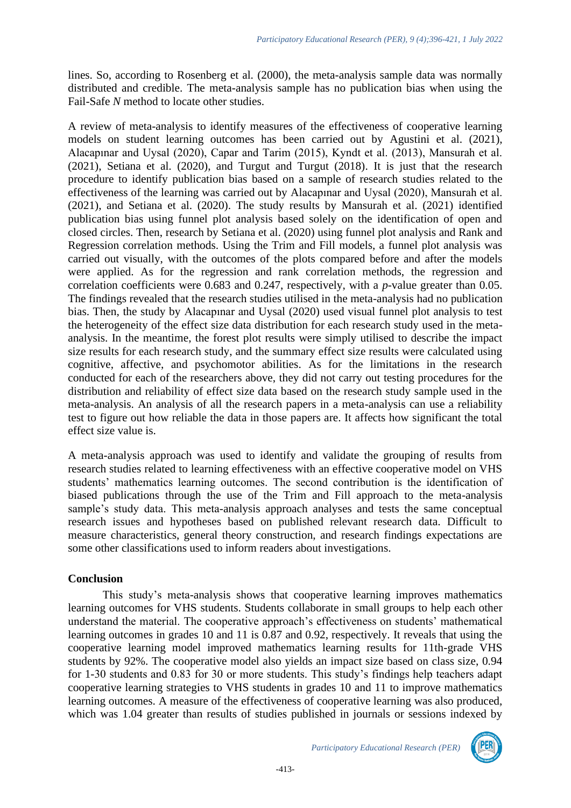lines. So, according to Rosenberg et al. (2000), the meta-analysis sample data was normally distributed and credible. The meta-analysis sample has no publication bias when using the Fail-Safe *N* method to locate other studies.

A review of meta-analysis to identify measures of the effectiveness of cooperative learning models on student learning outcomes has been carried out by Agustini et al. (2021), Alacapınar and Uysal (2020), Capar and Tarim (2015), Kyndt et al. (2013), Mansurah et al. (2021), Setiana et al. (2020), and Turgut and Turgut (2018). It is just that the research procedure to identify publication bias based on a sample of research studies related to the effectiveness of the learning was carried out by Alacapınar and Uysal (2020), Mansurah et al. (2021), and Setiana et al. (2020). The study results by Mansurah et al. (2021) identified publication bias using funnel plot analysis based solely on the identification of open and closed circles. Then, research by Setiana et al. (2020) using funnel plot analysis and Rank and Regression correlation methods. Using the Trim and Fill models, a funnel plot analysis was carried out visually, with the outcomes of the plots compared before and after the models were applied. As for the regression and rank correlation methods, the regression and correlation coefficients were 0.683 and 0.247, respectively, with a *p*-value greater than 0.05. The findings revealed that the research studies utilised in the meta-analysis had no publication bias. Then, the study by Alacapınar and Uysal (2020) used visual funnel plot analysis to test the heterogeneity of the effect size data distribution for each research study used in the metaanalysis. In the meantime, the forest plot results were simply utilised to describe the impact size results for each research study, and the summary effect size results were calculated using cognitive, affective, and psychomotor abilities. As for the limitations in the research conducted for each of the researchers above, they did not carry out testing procedures for the distribution and reliability of effect size data based on the research study sample used in the meta-analysis. An analysis of all the research papers in a meta-analysis can use a reliability test to figure out how reliable the data in those papers are. It affects how significant the total effect size value is.

A meta-analysis approach was used to identify and validate the grouping of results from research studies related to learning effectiveness with an effective cooperative model on VHS students' mathematics learning outcomes. The second contribution is the identification of biased publications through the use of the Trim and Fill approach to the meta-analysis sample's study data. This meta-analysis approach analyses and tests the same conceptual research issues and hypotheses based on published relevant research data. Difficult to measure characteristics, general theory construction, and research findings expectations are some other classifications used to inform readers about investigations.

# **Conclusion**

This study's meta-analysis shows that cooperative learning improves mathematics learning outcomes for VHS students. Students collaborate in small groups to help each other understand the material. The cooperative approach's effectiveness on students' mathematical learning outcomes in grades 10 and 11 is 0.87 and 0.92, respectively. It reveals that using the cooperative learning model improved mathematics learning results for 11th-grade VHS students by 92%. The cooperative model also yields an impact size based on class size, 0.94 for 1-30 students and 0.83 for 30 or more students. This study's findings help teachers adapt cooperative learning strategies to VHS students in grades 10 and 11 to improve mathematics learning outcomes. A measure of the effectiveness of cooperative learning was also produced, which was 1.04 greater than results of studies published in journals or sessions indexed by

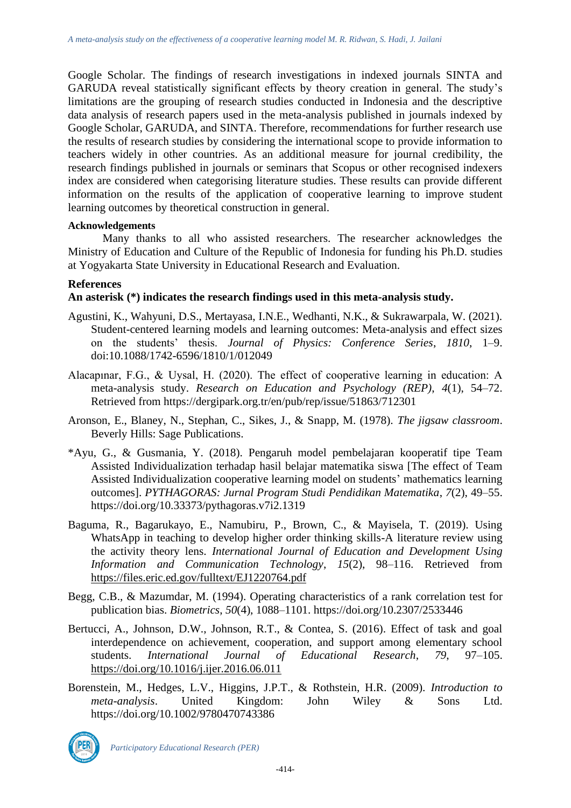Google Scholar. The findings of research investigations in indexed journals SINTA and GARUDA reveal statistically significant effects by theory creation in general. The study's limitations are the grouping of research studies conducted in Indonesia and the descriptive data analysis of research papers used in the meta-analysis published in journals indexed by Google Scholar, GARUDA, and SINTA. Therefore, recommendations for further research use the results of research studies by considering the international scope to provide information to teachers widely in other countries. As an additional measure for journal credibility, the research findings published in journals or seminars that Scopus or other recognised indexers index are considered when categorising literature studies. These results can provide different information on the results of the application of cooperative learning to improve student learning outcomes by theoretical construction in general.

#### **Acknowledgements**

Many thanks to all who assisted researchers. The researcher acknowledges the Ministry of Education and Culture of the Republic of Indonesia for funding his Ph.D. studies at Yogyakarta State University in Educational Research and Evaluation.

### **References**

### **An asterisk (\*) indicates the research findings used in this meta-analysis study.**

- Agustini, K., Wahyuni, D.S., Mertayasa, I.N.E., Wedhanti, N.K., & Sukrawarpala, W. (2021). Student-centered learning models and learning outcomes: Meta-analysis and effect sizes on the students' thesis. *Journal of Physics: Conference Series*, *1810*, 1–9. doi:10.1088/1742-6596/1810/1/012049
- Alacapınar, F.G., & Uysal, H. (2020). The effect of cooperative learning in education: A meta-analysis study. *Research on Education and Psychology (REP)*, *4*(1), 54–72. Retrieved from https://dergipark.org.tr/en/pub/rep/issue/51863/712301
- Aronson, E., Blaney, N., Stephan, C., Sikes, J., & Snapp, M. (1978). *The jigsaw classroom*. Beverly Hills: Sage Publications.
- \*Ayu, G., & Gusmania, Y. (2018). Pengaruh model pembelajaran kooperatif tipe Team Assisted Individualization terhadap hasil belajar matematika siswa [The effect of Team Assisted Individualization cooperative learning model on students' mathematics learning outcomes]. *PYTHAGORAS: Jurnal Program Studi Pendidikan Matematika*, *7*(2), 49–55. https://doi.org/10.33373/pythagoras.v7i2.1319
- Baguma, R., Bagarukayo, E., Namubiru, P., Brown, C., & Mayisela, T. (2019). Using WhatsApp in teaching to develop higher order thinking skills-A literature review using the activity theory lens. *International Journal of Education and Development Using Information and Communication Technology*, *15*(2), 98–116. Retrieved from <https://files.eric.ed.gov/fulltext/EJ1220764.pdf>
- Begg, C.B., & Mazumdar, M. (1994). Operating characteristics of a rank correlation test for publication bias. *Biometrics*, *50*(4), 1088–1101. https://doi.org/10.2307/2533446
- Bertucci, A., Johnson, D.W., Johnson, R.T., & Contea, S. (2016). Effect of task and goal interdependence on achievement, cooperation, and support among elementary school students. *International Journal of Educational Research*, *79*, 97–105. <https://doi.org/10.1016/j.ijer.2016.06.011>
- Borenstein, M., Hedges, L.V., Higgins, J.P.T., & Rothstein, H.R. (2009). *Introduction to meta-analysis*. United Kingdom: John Wiley & Sons Ltd. https://doi.org/10.1002/9780470743386

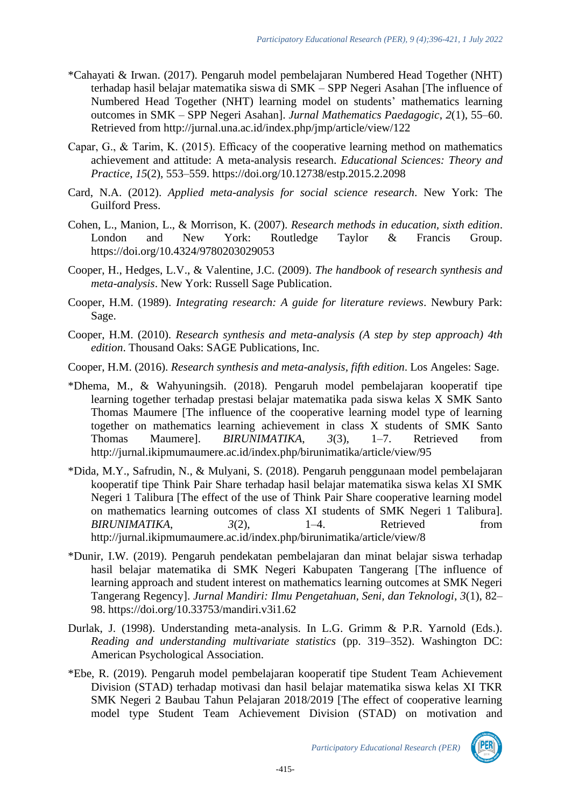- \*Cahayati & Irwan. (2017). Pengaruh model pembelajaran Numbered Head Together (NHT) terhadap hasil belajar matematika siswa di SMK – SPP Negeri Asahan [The influence of Numbered Head Together (NHT) learning model on students' mathematics learning outcomes in SMK – SPP Negeri Asahan]. *Jurnal Mathematics Paedagogic*, *2*(1), 55–60. Retrieved from http://jurnal.una.ac.id/index.php/jmp/article/view/122
- Capar, G., & Tarim, K. (2015). Efficacy of the cooperative learning method on mathematics achievement and attitude: A meta-analysis research. *Educational Sciences: Theory and Practice*, *15*(2), 553–559. https://doi.org/10.12738/estp.2015.2.2098
- Card, N.A. (2012). *Applied meta-analysis for social science research*. New York: The Guilford Press.
- Cohen, L., Manion, L., & Morrison, K. (2007). *Research methods in education, sixth edition*. London and New York: Routledge Taylor & Francis Group. https://doi.org/10.4324/9780203029053
- Cooper, H., Hedges, L.V., & Valentine, J.C. (2009). *The handbook of research synthesis and meta-analysis*. New York: Russell Sage Publication.
- Cooper, H.M. (1989). *Integrating research: A guide for literature reviews*. Newbury Park: Sage.
- Cooper, H.M. (2010). *Research synthesis and meta-analysis (A step by step approach) 4th edition*. Thousand Oaks: SAGE Publications, Inc.
- Cooper, H.M. (2016). *Research synthesis and meta-analysis, fifth edition*. Los Angeles: Sage.
- \*Dhema, M., & Wahyuningsih. (2018). Pengaruh model pembelajaran kooperatif tipe learning together terhadap prestasi belajar matematika pada siswa kelas X SMK Santo Thomas Maumere [The influence of the cooperative learning model type of learning together on mathematics learning achievement in class X students of SMK Santo Thomas Maumere]. *BIRUNIMATIKA*, *3*(3), 1–7. Retrieved from http://jurnal.ikipmumaumere.ac.id/index.php/birunimatika/article/view/95
- \*Dida, M.Y., Safrudin, N., & Mulyani, S. (2018). Pengaruh penggunaan model pembelajaran kooperatif tipe Think Pair Share terhadap hasil belajar matematika siswa kelas XI SMK Negeri 1 Talibura [The effect of the use of Think Pair Share cooperative learning model on mathematics learning outcomes of class XI students of SMK Negeri 1 Talibura]. *BIRUNIMATIKA*, *3*(2), 1–4. Retrieved from http://jurnal.ikipmumaumere.ac.id/index.php/birunimatika/article/view/8
- \*Dunir, I.W. (2019). Pengaruh pendekatan pembelajaran dan minat belajar siswa terhadap hasil belajar matematika di SMK Negeri Kabupaten Tangerang [The influence of learning approach and student interest on mathematics learning outcomes at SMK Negeri Tangerang Regency]. *Jurnal Mandiri: Ilmu Pengetahuan, Seni, dan Teknologi*, *3*(1), 82– 98. https://doi.org/10.33753/mandiri.v3i1.62
- Durlak, J. (1998). Understanding meta-analysis. In L.G. Grimm & P.R. Yarnold (Eds.). *Reading and understanding multivariate statistics* (pp. 319–352). Washington DC: American Psychological Association.
- \*Ebe, R. (2019). Pengaruh model pembelajaran kooperatif tipe Student Team Achievement Division (STAD) terhadap motivasi dan hasil belajar matematika siswa kelas XI TKR SMK Negeri 2 Baubau Tahun Pelajaran 2018/2019 [The effect of cooperative learning model type Student Team Achievement Division (STAD) on motivation and

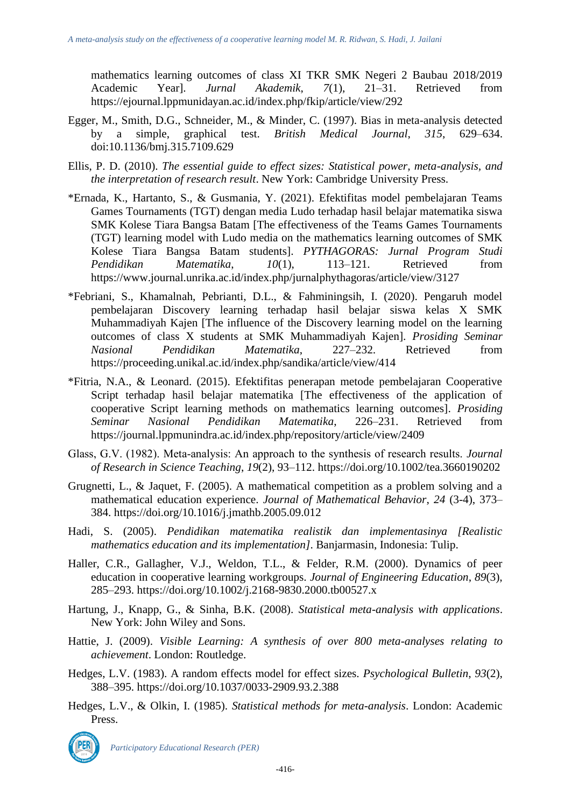mathematics learning outcomes of class XI TKR SMK Negeri 2 Baubau 2018/2019 Academic Year]. *Jurnal Akademik*, *7*(1), 21–31. Retrieved from https://ejournal.lppmunidayan.ac.id/index.php/fkip/article/view/292

- Egger, M., Smith, D.G., Schneider, M., & Minder, C. (1997). Bias in meta-analysis detected by a simple, graphical test. *British Medical Journal*, *315*, 629–634. doi:10.1136/bmj.315.7109.629
- Ellis, P. D. (2010). *The essential guide to effect sizes: Statistical power, meta-analysis, and the interpretation of research result*. New York: Cambridge University Press.
- \*Ernada, K., Hartanto, S., & Gusmania, Y. (2021). Efektifitas model pembelajaran Teams Games Tournaments (TGT) dengan media Ludo terhadap hasil belajar matematika siswa SMK Kolese Tiara Bangsa Batam [The effectiveness of the Teams Games Tournaments (TGT) learning model with Ludo media on the mathematics learning outcomes of SMK Kolese Tiara Bangsa Batam students]. *PYTHAGORAS: Jurnal Program Studi Pendidikan Matematika*, *10*(1), 113–121. Retrieved from https://www.journal.unrika.ac.id/index.php/jurnalphythagoras/article/view/3127
- \*Febriani, S., Khamalnah, Pebrianti, D.L., & Fahminingsih, I. (2020). Pengaruh model pembelajaran Discovery learning terhadap hasil belajar siswa kelas X SMK Muhammadiyah Kajen [The influence of the Discovery learning model on the learning outcomes of class X students at SMK Muhammadiyah Kajen]. *Prosiding Seminar Nasional Pendidikan Matematika*, 227–232. Retrieved from https://proceeding.unikal.ac.id/index.php/sandika/article/view/414
- \*Fitria, N.A., & Leonard. (2015). Efektifitas penerapan metode pembelajaran Cooperative Script terhadap hasil belajar matematika [The effectiveness of the application of cooperative Script learning methods on mathematics learning outcomes]. *Prosiding Seminar Nasional Pendidikan Matematika*, 226–231. Retrieved from https://journal.lppmunindra.ac.id/index.php/repository/article/view/2409
- Glass, G.V. (1982). Meta‐analysis: An approach to the synthesis of research results. *Journal of Research in Science Teaching*, *19*(2), 93–112. https://doi.org/10.1002/tea.3660190202
- Grugnetti, L., & Jaquet, F. (2005). A mathematical competition as a problem solving and a mathematical education experience. *Journal of Mathematical Behavior*, *24* (3-4), 373– 384. https://doi.org/10.1016/j.jmathb.2005.09.012
- Hadi, S. (2005). *Pendidikan matematika realistik dan implementasinya [Realistic mathematics education and its implementation]*. Banjarmasin, Indonesia: Tulip.
- Haller, C.R., Gallagher, V.J., Weldon, T.L., & Felder, R.M. (2000). Dynamics of peer education in cooperative learning workgroups. *Journal of Engineering Education*, *89*(3), 285–293. https://doi.org/10.1002/j.2168-9830.2000.tb00527.x
- Hartung, J., Knapp, G., & Sinha, B.K. (2008). *Statistical meta-analysis with applications*. New York: John Wiley and Sons.
- Hattie, J. (2009). *Visible Learning: A synthesis of over 800 meta-analyses relating to achievement*. London: Routledge.
- Hedges, L.V. (1983). A random effects model for effect sizes. *Psychological Bulletin*, *93*(2), 388–395. https://doi.org/10.1037/0033-2909.93.2.388
- Hedges, L.V., & Olkin, I. (1985). *Statistical methods for meta-analysis*. London: Academic Press.



*Participatory Educational Research (PER)*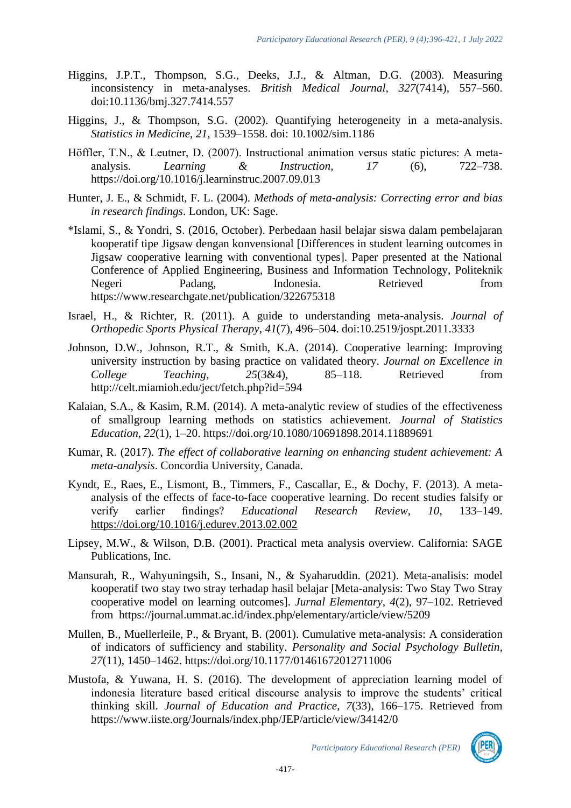- Higgins, J.P.T., Thompson, S.G., Deeks, J.J., & Altman, D.G. (2003). Measuring inconsistency in meta-analyses. *British Medical Journal*, *327*(7414), 557–560. doi:10.1136/bmj.327.7414.557
- Higgins, J., & Thompson, S.G. (2002). Quantifying heterogeneity in a meta-analysis. *Statistics in Medicine*, *21*, 1539–1558. doi: 10.1002/sim.1186
- Höffler, T.N., & Leutner, D. (2007). Instructional animation versus static pictures: A metaanalysis. *Learning & Instruction*, *17* (6), 722–738. https://doi.org/10.1016/j.learninstruc.2007.09.013
- Hunter, J. E., & Schmidt, F. L. (2004). *Methods of meta-analysis: Correcting error and bias in research findings*. London, UK: Sage.
- \*Islami, S., & Yondri, S. (2016, October). Perbedaan hasil belajar siswa dalam pembelajaran kooperatif tipe Jigsaw dengan konvensional [Differences in student learning outcomes in Jigsaw cooperative learning with conventional types]. Paper presented at the National Conference of Applied Engineering, Business and Information Technology, Politeknik Negeri Padang, Indonesia. Retrieved from https://www.researchgate.net/publication/322675318
- Israel, H., & Richter, R. (2011). A guide to understanding meta-analysis. *Journal of Orthopedic Sports Physical Therapy*, *41*(7), 496–504. doi:10.2519/jospt.2011.3333
- Johnson, D.W., Johnson, R.T., & Smith, K.A. (2014). Cooperative learning: Improving university instruction by basing practice on validated theory. *Journal on Excellence in College Teaching*, *25*(3&4), 85–118. Retrieved from http://celt.miamioh.edu/ject/fetch.php?id=594
- Kalaian, S.A., & Kasim, R.M. (2014). A meta-analytic review of studies of the effectiveness of smallgroup learning methods on statistics achievement. *Journal of Statistics Education*, *22*(1), 1–20. https://doi.org/10.1080/10691898.2014.11889691
- Kumar, R. (2017). *The effect of collaborative learning on enhancing student achievement: A meta-analysis*. Concordia University, Canada.
- Kyndt, E., Raes, E., Lismont, B., Timmers, F., Cascallar, E., & Dochy, F. (2013). A metaanalysis of the effects of face-to-face cooperative learning. Do recent studies falsify or verify earlier findings? *Educational Research Review*, *10*, 133–149. <https://doi.org/10.1016/j.edurev.2013.02.002>
- Lipsey, M.W., & Wilson, D.B. (2001). Practical meta analysis overview. California: SAGE Publications, Inc.
- Mansurah, R., Wahyuningsih, S., Insani, N., & Syaharuddin. (2021). Meta-analisis: model kooperatif two stay two stray terhadap hasil belajar [Meta-analysis: Two Stay Two Stray cooperative model on learning outcomes]. *Jurnal Elementary*, *4*(2), 97–102. Retrieved from https://journal.ummat.ac.id/index.php/elementary/article/view/5209
- Mullen, B., Muellerleile, P., & Bryant, B. (2001). Cumulative meta-analysis: A consideration of indicators of sufficiency and stability. *Personality and Social Psychology Bulletin*, *27*(11), 1450–1462. https://doi.org/10.1177/01461672012711006
- Mustofa, & Yuwana, H. S. (2016). The development of appreciation learning model of indonesia literature based critical discourse analysis to improve the students' critical thinking skill. *Journal of Education and Practice*, *7*(33), 166–175. Retrieved from https://www.iiste.org/Journals/index.php/JEP/article/view/34142/0

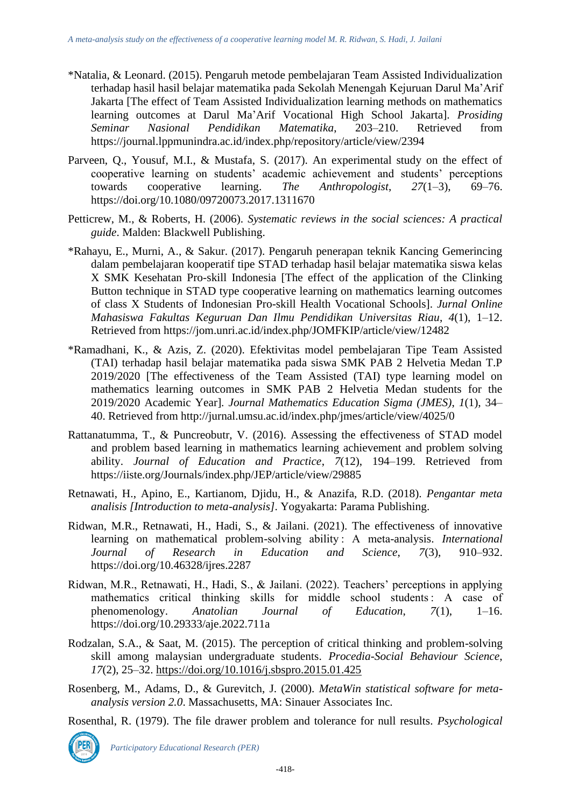- \*Natalia, & Leonard. (2015). Pengaruh metode pembelajaran Team Assisted Individualization terhadap hasil hasil belajar matematika pada Sekolah Menengah Kejuruan Darul Ma'Arif Jakarta [The effect of Team Assisted Individualization learning methods on mathematics learning outcomes at Darul Ma'Arif Vocational High School Jakarta]. *Prosiding Seminar Nasional Pendidikan Matematika*, 203–210. Retrieved from https://journal.lppmunindra.ac.id/index.php/repository/article/view/2394
- Parveen, Q., Yousuf, M.I., & Mustafa, S. (2017). An experimental study on the effect of cooperative learning on students' academic achievement and students' perceptions towards cooperative learning. The Anthropologist, 27(1–3), 69–76. towards cooperative learning. *The Anthropologist*, *27*(1–3), 69–76. https://doi.org/10.1080/09720073.2017.1311670
- Petticrew, M., & Roberts, H. (2006). *Systematic reviews in the social sciences: A practical guide*. Malden: Blackwell Publishing.
- \*Rahayu, E., Murni, A., & Sakur. (2017). Pengaruh penerapan teknik Kancing Gemerincing dalam pembelajaran kooperatif tipe STAD terhadap hasil belajar matematika siswa kelas X SMK Kesehatan Pro-skill Indonesia [The effect of the application of the Clinking Button technique in STAD type cooperative learning on mathematics learning outcomes of class X Students of Indonesian Pro-skill Health Vocational Schools]. *Jurnal Online Mahasiswa Fakultas Keguruan Dan Ilmu Pendidikan Universitas Riau*, *4*(1), 1–12. Retrieved from https://jom.unri.ac.id/index.php/JOMFKIP/article/view/12482
- \*Ramadhani, K., & Azis, Z. (2020). Efektivitas model pembelajaran Tipe Team Assisted (TAI) terhadap hasil belajar matematika pada siswa SMK PAB 2 Helvetia Medan T.P 2019/2020 [The effectiveness of the Team Assisted (TAI) type learning model on mathematics learning outcomes in SMK PAB 2 Helvetia Medan students for the 2019/2020 Academic Year]. *Journal Mathematics Education Sigma (JMES)*, *1*(1), 34– 40. Retrieved from http://jurnal.umsu.ac.id/index.php/jmes/article/view/4025/0
- Rattanatumma, T., & Puncreobutr, V. (2016). Assessing the effectiveness of STAD model and problem based learning in mathematics learning achievement and problem solving ability. *Journal of Education and Practice*, *7*(12), 194–199. Retrieved from https://iiste.org/Journals/index.php/JEP/article/view/29885
- Retnawati, H., Apino, E., Kartianom, Djidu, H., & Anazifa, R.D. (2018). *Pengantar meta analisis [Introduction to meta-analysis]*. Yogyakarta: Parama Publishing.
- Ridwan, M.R., Retnawati, H., Hadi, S., & Jailani. (2021). The effectiveness of innovative learning on mathematical problem-solving ability : A meta-analysis. *International Journal of Research in Education and Science*, *7*(3), 910–932. https://doi.org/10.46328/ijres.2287
- Ridwan, M.R., Retnawati, H., Hadi, S., & Jailani. (2022). Teachers' perceptions in applying mathematics critical thinking skills for middle school students : A case of phenomenology. *Anatolian Journal of Education*, *7*(1), 1–16. https://doi.org/10.29333/aje.2022.711a
- Rodzalan, S.A., & Saat, M. (2015). The perception of critical thinking and problem-solving skill among malaysian undergraduate students. *Procedia-Social Behaviour Science*, *17*(2), 25–32.<https://doi.org/10.1016/j.sbspro.2015.01.425>
- Rosenberg, M., Adams, D., & Gurevitch, J. (2000). *MetaWin statistical software for metaanalysis version 2.0*. Massachusetts, MA: Sinauer Associates Inc.

Rosenthal, R. (1979). The file drawer problem and tolerance for null results. *Psychological* 

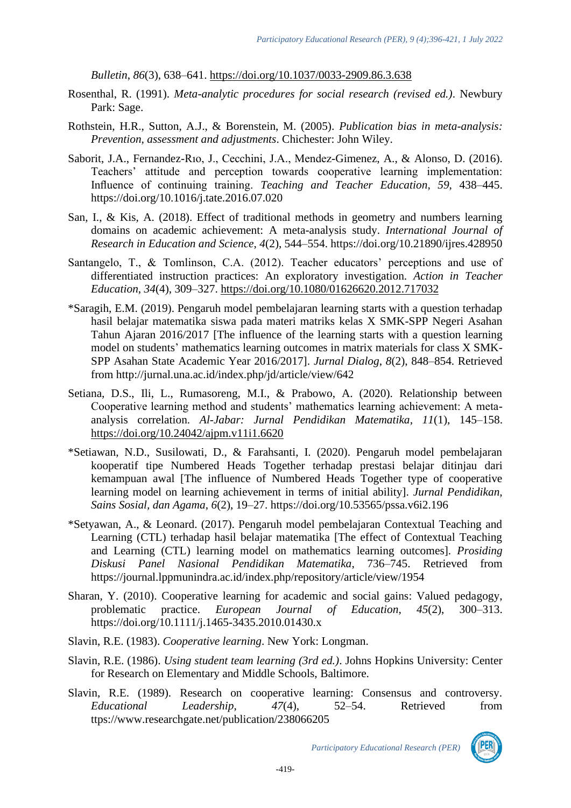*Bulletin*, *86*(3), 638–641. [https://doi.org/10.1037/0033-2909.86.3.638](https://psycnet.apa.org/doi/10.1037/0033-2909.86.3.638)

- Rosenthal, R. (1991). *Meta-analytic procedures for social research (revised ed.)*. Newbury Park: Sage.
- Rothstein, H.R., Sutton, A.J., & Borenstein, M. (2005). *Publication bias in meta-analysis: Prevention, assessment and adjustments*. Chichester: John Wiley.
- Saborit, J.A., Fernandez-Rıo, J., Cecchini, J.A., Mendez-Gimenez, A., & Alonso, D. (2016). Teachers' attitude and perception towards cooperative learning implementation: Influence of continuing training. *Teaching and Teacher Education*, *59*, 438–445. https://doi.org/10.1016/j.tate.2016.07.020
- San, I., & Kis, A. (2018). Effect of traditional methods in geometry and numbers learning domains on academic achievement: A meta-analysis study. *International Journal of Research in Education and Science*, *4*(2), 544–554. https://doi.org/10.21890/ijres.428950
- Santangelo, T., & Tomlinson, C.A. (2012). Teacher educators' perceptions and use of differentiated instruction practices: An exploratory investigation. *Action in Teacher Education*, *34*(4), 309–327.<https://doi.org/10.1080/01626620.2012.717032>
- \*Saragih, E.M. (2019). Pengaruh model pembelajaran learning starts with a question terhadap hasil belajar matematika siswa pada materi matriks kelas X SMK-SPP Negeri Asahan Tahun Ajaran 2016/2017 [The influence of the learning starts with a question learning model on students' mathematics learning outcomes in matrix materials for class X SMK-SPP Asahan State Academic Year 2016/2017]. *Jurnal Dialog*, *8*(2), 848–854. Retrieved from http://jurnal.una.ac.id/index.php/jd/article/view/642
- Setiana, D.S., Ili, L., Rumasoreng, M.I., & Prabowo, A. (2020). Relationship between Cooperative learning method and students' mathematics learning achievement: A metaanalysis correlation. *Al-Jabar: Jurnal Pendidikan Matematika*, *11*(1), 145–158. <https://doi.org/10.24042/ajpm.v11i1.6620>
- \*Setiawan, N.D., Susilowati, D., & Farahsanti, I. (2020). Pengaruh model pembelajaran kooperatif tipe Numbered Heads Together terhadap prestasi belajar ditinjau dari kemampuan awal [The influence of Numbered Heads Together type of cooperative learning model on learning achievement in terms of initial ability]. *Jurnal Pendidikan, Sains Sosial, dan Agama*, *6*(2), 19–27. https://doi.org/10.53565/pssa.v6i2.196
- \*Setyawan, A., & Leonard. (2017). Pengaruh model pembelajaran Contextual Teaching and Learning (CTL) terhadap hasil belajar matematika [The effect of Contextual Teaching and Learning (CTL) learning model on mathematics learning outcomes]. *Prosiding Diskusi Panel Nasional Pendidikan Matematika*, 736–745. Retrieved from https://journal.lppmunindra.ac.id/index.php/repository/article/view/1954
- Sharan, Y. (2010). Cooperative learning for academic and social gains: Valued pedagogy, problematic practice. *European Journal of Education*, *45*(2), 300–313. https://doi.org/10.1111/j.1465-3435.2010.01430.x
- Slavin, R.E. (1983). *Cooperative learning*. New York: Longman.
- Slavin, R.E. (1986). *Using student team learning (3rd ed.)*. Johns Hopkins University: Center for Research on Elementary and Middle Schools, Baltimore.
- Slavin, R.E. (1989). Research on cooperative learning: Consensus and controversy. *Educational Leadership*, *47*(4), 52–54. Retrieved from ttps://www.researchgate.net/publication/238066205

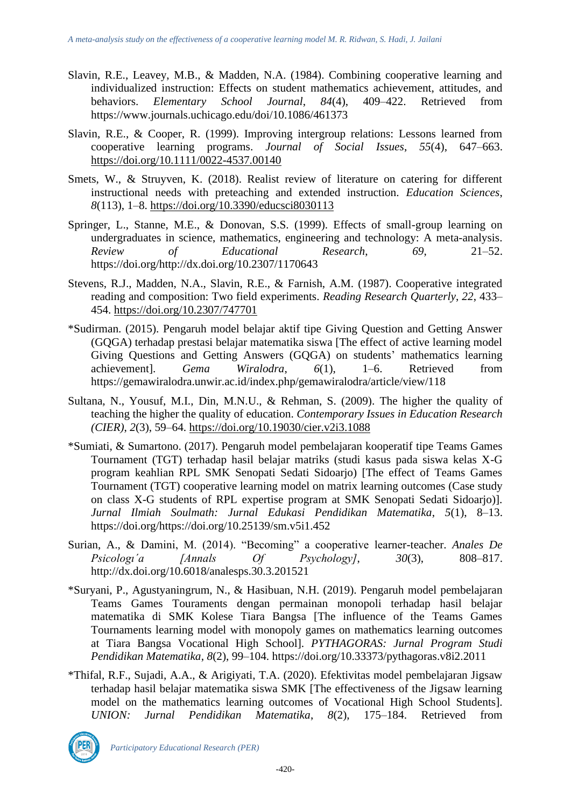- Slavin, R.E., Leavey, M.B., & Madden, N.A. (1984). Combining cooperative learning and individualized instruction: Effects on student mathematics achievement, attitudes, and<br>behaviors. Elementary School Journal, 84(4), 409–422. Retrieved from behaviors. *Elementary School* https://www.journals.uchicago.edu/doi/10.1086/461373
- Slavin, R.E., & Cooper, R. (1999). Improving intergroup relations: Lessons learned from cooperative learning programs. *Journal of Social Issues*, *55*(4), 647–663. [https://doi.org/10.1111/0022-4537.00140](https://psycnet.apa.org/doi/10.1111/0022-4537.00140)
- Smets, W., & Struyven, K. (2018). Realist review of literature on catering for different instructional needs with preteaching and extended instruction. *Education Sciences*, *8*(113), 1–8.<https://doi.org/10.3390/educsci8030113>
- Springer, L., Stanne, M.E., & Donovan, S.S. (1999). Effects of small-group learning on undergraduates in science, mathematics, engineering and technology: A meta-analysis. *Review of Educational Research*, *69*, 21–52. https://doi.org/http://dx.doi.org/10.2307/1170643
- Stevens, R.J., Madden, N.A., Slavin, R.E., & Farnish, A.M. (1987). Cooperative integrated reading and composition: Two field experiments. *Reading Research Quarterly*, *22*, 433– 454.<https://doi.org/10.2307/747701>
- \*Sudirman. (2015). Pengaruh model belajar aktif tipe Giving Question and Getting Answer (GQGA) terhadap prestasi belajar matematika siswa [The effect of active learning model Giving Questions and Getting Answers (GQGA) on students' mathematics learning achievement]. *Gema Wiralodra*, *6*(1), 1–6. Retrieved from https://gemawiralodra.unwir.ac.id/index.php/gemawiralodra/article/view/118
- Sultana, N., Yousuf, M.I., Din, M.N.U., & Rehman, S. (2009). The higher the quality of teaching the higher the quality of education. *Contemporary Issues in Education Research (CIER)*, *2*(3), 59–64.<https://doi.org/10.19030/cier.v2i3.1088>
- \*Sumiati, & Sumartono. (2017). Pengaruh model pembelajaran kooperatif tipe Teams Games Tournament (TGT) terhadap hasil belajar matriks (studi kasus pada siswa kelas X-G program keahlian RPL SMK Senopati Sedati Sidoarjo) [The effect of Teams Games Tournament (TGT) cooperative learning model on matrix learning outcomes (Case study on class X-G students of RPL expertise program at SMK Senopati Sedati Sidoarjo)]. *Jurnal Ilmiah Soulmath: Jurnal Edukasi Pendidikan Matematika*, *5*(1), 8–13. https://doi.org/https://doi.org/10.25139/sm.v5i1.452
- Surian, A., & Damini, M. (2014). "Becoming" a cooperative learner-teacher. *Anales De Psicologı´a [Annals Of Psychology]*, *30*(3), 808–817. http://dx.doi.org/10.6018/analesps.30.3.201521
- \*Suryani, P., Agustyaningrum, N., & Hasibuan, N.H. (2019). Pengaruh model pembelajaran Teams Games Touraments dengan permainan monopoli terhadap hasil belajar matematika di SMK Kolese Tiara Bangsa [The influence of the Teams Games Tournaments learning model with monopoly games on mathematics learning outcomes at Tiara Bangsa Vocational High School]. *PYTHAGORAS: Jurnal Program Studi Pendidikan Matematika*, *8*(2), 99–104. https://doi.org/10.33373/pythagoras.v8i2.2011
- \*Thifal, R.F., Sujadi, A.A., & Arigiyati, T.A. (2020). Efektivitas model pembelajaran Jigsaw terhadap hasil belajar matematika siswa SMK [The effectiveness of the Jigsaw learning model on the mathematics learning outcomes of Vocational High School Students]. *UNION: Jurnal Pendidikan Matematika*, *8*(2), 175–184. Retrieved from